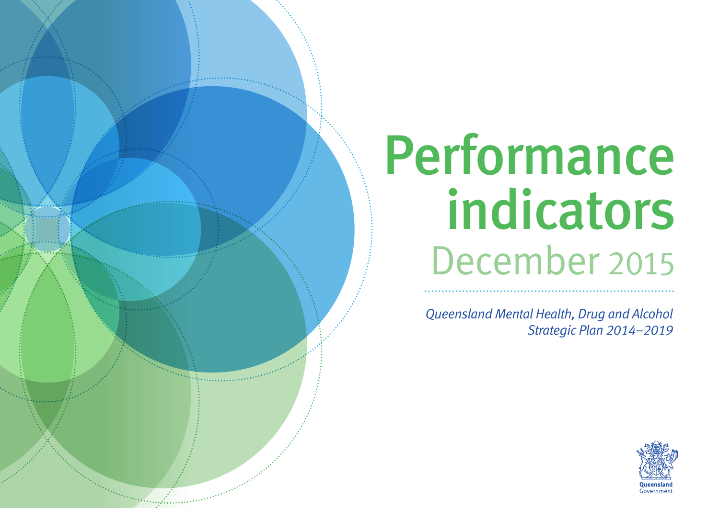# Performance indicators December 2015

*Queensland Mental Health, Drug and Alcohol Strategic Plan 2014–2019*

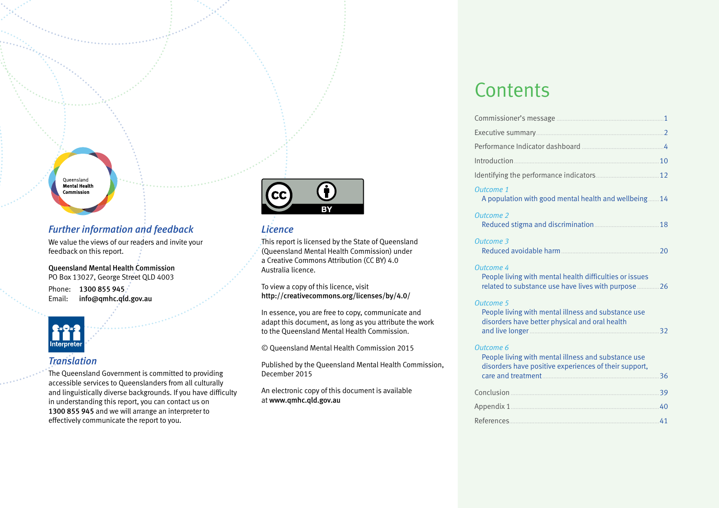#### Oueensland **Mental Health** Commission

# *Further information and feedback*

We value the views of our readers and invite your feedback on this report.

Queensland Mental Health Commission PO Box 13027, George Street QLD 4003 Phone: 1300 855 945. Email: info@qmhc.qld.gov.au



# *Translation*

The Queensland Government is committed to providing accessible services to Queenslanders from all culturally and linguistically diverse backgrounds. If you have difficulty in understanding this report, you can contact us on 1300 855 945 and we will arrange an interpreter to effectively communicate the report to you.



# *Licence*

This report is licensed by the State of Queensland (Queensland Mental Health Commission) under a Creative Commons Attribution (CC BY) 4.0 Australia licence.

To view a copy of this licence, visit http://creativecommons.org/licenses/by/4.0/

In essence, you are free to copy, communicate and adapt this document, as long as you attribute the work to the Queensland Mental Health Commission.

© Queensland Mental Health Commission 2015

Published by the Queensland Mental Health Commission, December 2015

An electronic copy of this document is available at www.qmhc.qld.gov.au

# **Contents**

| Outcome 1<br>A population with good mental health and wellbeing14                                                                   |    |
|-------------------------------------------------------------------------------------------------------------------------------------|----|
| <b>Outcome 2</b>                                                                                                                    | 18 |
| <b>Outcome 3</b>                                                                                                                    | 20 |
| <b>Outcome 4</b><br>People living with mental health difficulties or issues<br>related to substance use have lives with purpose  26 |    |
| <b>Outcome 5</b><br>People living with mental illness and substance use<br>disorders have better physical and oral health           | 32 |
| Outcome 6<br>People living with mental illness and substance use<br>disorders have positive experiences of their support,           | 36 |
|                                                                                                                                     | 39 |
|                                                                                                                                     |    |
|                                                                                                                                     |    |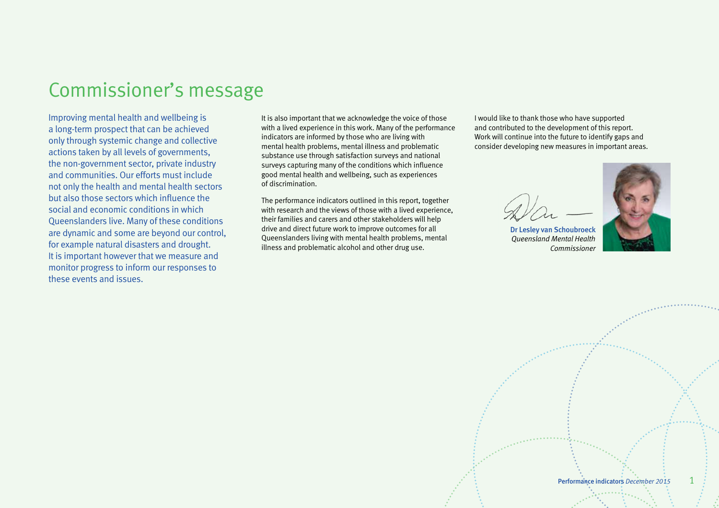# <span id="page-2-0"></span>Commissioner's message

Improving mental health and wellbeing is a long-term prospect that can be achieved only through systemic change and collective actions taken by all levels of governments, the non-government sector, private industry and communities. Our efforts must include not only the health and mental health sectors but also those sectors which influence the social and economic conditions in which Queenslanders live. Many of these conditions are dynamic and some are beyond our control, for example natural disasters and drought. It is important however that we measure and monitor progress to inform our responses to these events and issues.

It is also important that we acknowledge the voice of those with a lived experience in this work. Many of the performance indicators are informed by those who are living with mental health problems, mental illness and problematic substance use through satisfaction surveys and national surveys capturing many of the conditions which influence good mental health and wellbeing, such as experiences of discrimination.

The performance indicators outlined in this report, together with research and the views of those with a lived experience, their families and carers and other stakeholders will help drive and direct future work to improve outcomes for all Queenslanders living with mental health problems, mental illness and problematic alcohol and other drug use.

I would like to thank those who have supported and contributed to the development of this report. Work will continue into the future to identify gaps and consider developing new measures in important areas.

Dr Lesley van Schoubroeck *Queensland Mental Health Commissioner*



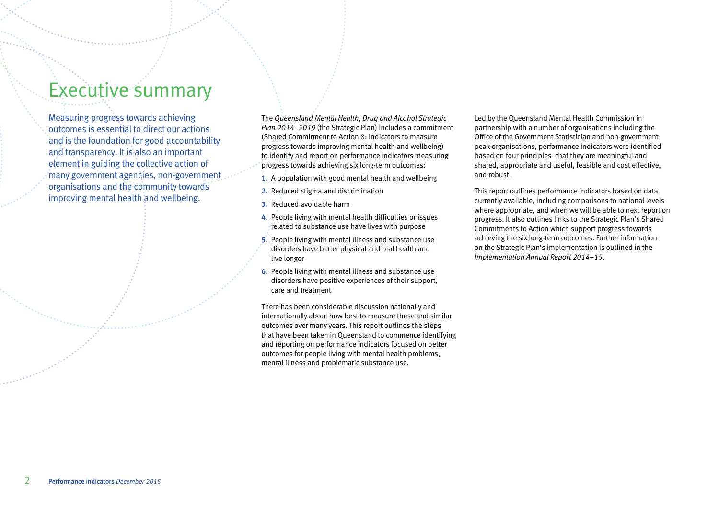# <span id="page-3-0"></span>Executive summary

Measuring progress towards achieving outcomes is essential to direct our actions and is the foundation for good accountability and transparency. It is also an important element in guiding the collective action of many government agencies, non-government organisations and the community towards improving mental health and wellbeing.

The *Queensland Mental Health, Drug and Alcohol Strategic Plan 2014–2019* (the Strategic Plan) includes a commitment (Shared Commitment to Action 8: Indicators to measure progress towards improving mental health and wellbeing) to identify and report on performance indicators measuring progress towards achieving six long-term outcomes:

- 1. A population with good mental health and wellbeing
- 2. Reduced stigma and discrimination
- 3. Reduced avoidable harm
- 4. People living with mental health difficulties or issues related to substance use have lives with purpose
- 5. People living with mental illness and substance use disorders have better physical and oral health and live longer
- 6. People living with mental illness and substance use disorders have positive experiences of their support, care and treatment

There has been considerable discussion nationally and internationally about how best to measure these and similar outcomes over many years. This report outlines the steps that have been taken in Queensland to commence identifying and reporting on performance indicators focused on better outcomes for people living with mental health problems, mental illness and problematic substance use.

Led by the Queensland Mental Health Commission in partnership with a number of organisations including the Office of the Government Statistician and non-government peak organisations, performance indicators were identified based on four principles–that they are meaningful and shared, appropriate and useful, feasible and cost effective, and robust.

This report outlines performance indicators based on data currently available, including comparisons to national levels where appropriate, and when we will be able to next report on progress. It also outlines links to the Strategic Plan's Shared Commitments to Action which support progress towards achieving the six long-term outcomes. Further information on the Strategic Plan's implementation is outlined in the *Implementation Annual Report 2014–15*.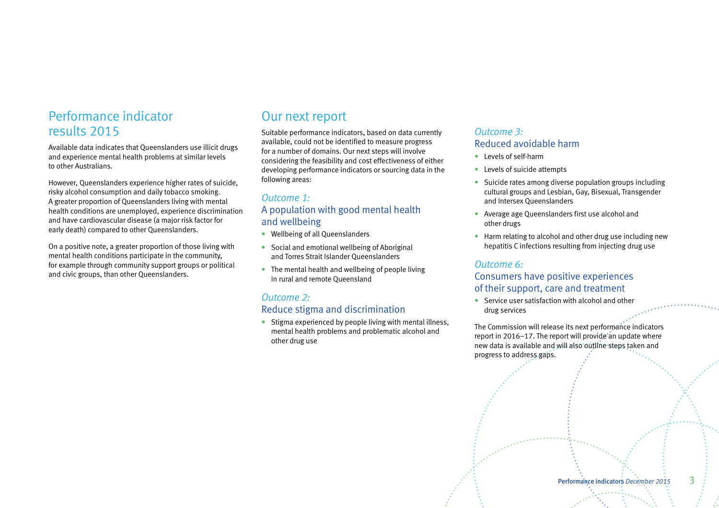# Performance indicator results 2015

Available data indicates that Queenslanders use illicit drugs and experience mental health problems at similar levels to other Australians.

However, Queenslanders experience higher rates of suicide, risky alcohol consumption and daily tobacco smoking. A greater proportion of Queenslanders living with mental health conditions are unemployed, experience discrimination and have cardiovascular disease (a major risk factor for early death) compared to other Queenslanders.

On a positive note, a greater proportion of those living with mental health conditions participate in the community, for example through community support groups or political and civic groups, than other Queenslanders.

# Our next report

Suitable performance indicators, based on data currently available, could not be identified to measure progress for a number of domains. Our next steps will involve considering the feasibility and cost effectiveness of either developing performance indicators or sourcing data in the following areas:

# *Outcome 1:*  A population with good mental health and wellbeing

- Wellbeing of all Queenslanders
- Social and emotional wellbeing of Aboriginal and Torres Strait Islander Queenslanders
- The mental health and wellbeing of people living in rural and remote Queensland

# *Outcome 2:*  Reduce stigma and discrimination

• Stigma experienced by people living with mental illness, mental health problems and problematic alcohol and other drug use

# *Outcome 3:*  Reduced avoidable harm

- Levels of self-harm
- Levels of suicide attempts
- Suicide rates among diverse population groups including cultural groups and Lesbian, Gay, Bisexual, Transgender and Intersex Queenslanders
- Average age Queenslanders first use alcohol and other drugs
- Harm relating to alcohol and other drug use including new hepatitis C infections resulting from injecting drug use

# *Outcome 6:*

# Consumers have positive experiences of their support, care and treatment

• Service user satisfaction with alcohol and other drug services

The Commission will release its next performance indicators report in  $2016-17$ . The report will provide an update where new data is available and will also outline steps taken and progress to address gaps.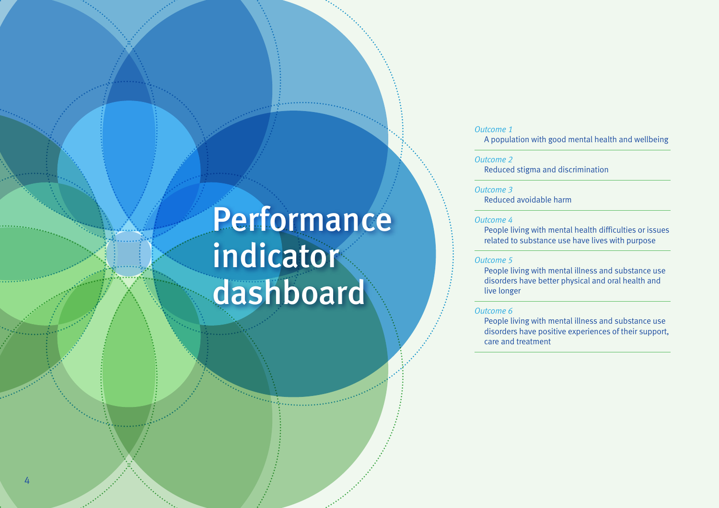# <span id="page-5-0"></span>**Performance** indicator dashboard

## *Outcome 1*

A population with good mental health and wellbeing

#### *Outcome 2*

Reduced stigma and discrimination

#### *Outcome 3*

Reduced avoidable harm

#### *Outcome 4*

People living with mental health difficulties or issues related to substance use have lives with purpose

#### *Outcome 5*

People living with mental illness and substance use disorders have better physical and oral health and live longer

#### *Outcome 6*

People living with mental illness and substance use disorders have positive experiences of their support, care and treatment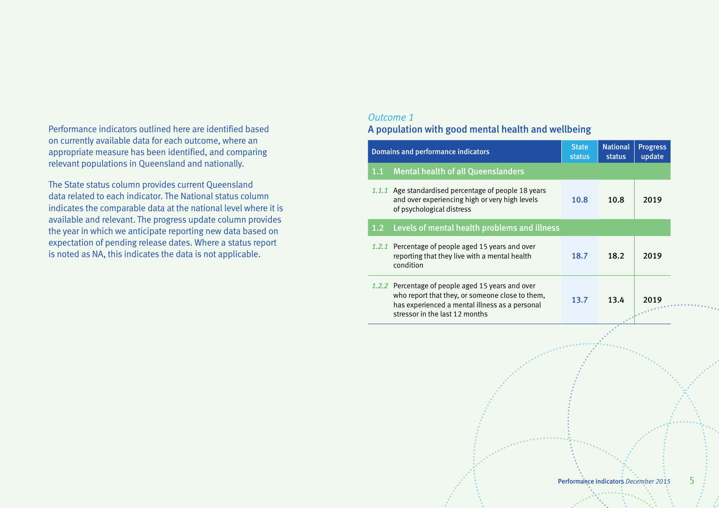Performance indicators outlined here are identified based on currently available data for each outcome, where an appropriate measure has been identified, and comparing relevant populations in Queensland and nationally.

The State status column provides current Queensland data related to each indicator. The National status column indicates the comparable data at the national level where it is available and relevant. The progress update column provides the year in which we anticipate reporting new data based on expectation of pending release dates. Where a status report is noted as NA, this indicates the data is not applicable.

# *Outcome 1*

# A population with good mental health and wellbeing

|     | <b>Domains and performance indicators</b>                                                                                                                                                | <b>State</b><br><b>status</b> | <b>National</b><br>status | <b>Progress</b><br>update |
|-----|------------------------------------------------------------------------------------------------------------------------------------------------------------------------------------------|-------------------------------|---------------------------|---------------------------|
| 1.1 | <b>Mental health of all Queenslanders</b>                                                                                                                                                |                               |                           |                           |
|     | 1.1.1 Age standardised percentage of people 18 years<br>and over experiencing high or very high levels<br>of psychological distress                                                      | 10.8                          | 10.8                      | 2019                      |
| 1.2 | Levels of mental health problems and illness                                                                                                                                             |                               |                           |                           |
|     | 1.2.1 Percentage of people aged 15 years and over<br>reporting that they live with a mental health<br>condition                                                                          | 18.7                          | 18.2                      | 2019                      |
|     | 1.2.2 Percentage of people aged 15 years and over<br>who report that they, or someone close to them,<br>has experienced a mental illness as a personal<br>stressor in the last 12 months | 13.7                          | 13.4                      | 2019<br>                  |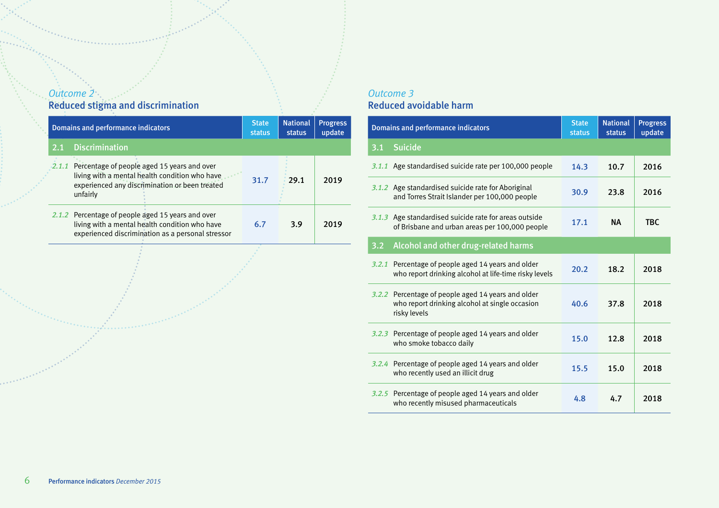# *Outcome 2*  Reduced stigma and discrimination

| <b>Domains and performance indicators</b> |                                                                                                                                                             | <b>State</b><br>status | <b>National</b><br>status | <b>Progress</b><br>update |
|-------------------------------------------|-------------------------------------------------------------------------------------------------------------------------------------------------------------|------------------------|---------------------------|---------------------------|
|                                           | 2.1 Discrimination                                                                                                                                          |                        |                           |                           |
| 2.1.1                                     | Percentage of people aged 15 years and over<br>living with a mental health condition who have<br>experienced any discrimination or been treated<br>unfairly | 31.7                   | 29.1                      | 2019                      |
|                                           | 2.1.2 Percentage of people aged 15 years and over<br>living with a mental health condition who have<br>experienced discrimination as a personal stressor    | 6.7                    | 3.9                       | 2019                      |

# *Outcome 3*  Reduced avoidable harm

|       | <b>Domains and performance indicators</b>                                                                            | <b>State</b><br><b>status</b> | <b>National</b><br><b>status</b> | <b>Progress</b><br>update |
|-------|----------------------------------------------------------------------------------------------------------------------|-------------------------------|----------------------------------|---------------------------|
| 3.1   | <b>Suicide</b>                                                                                                       |                               |                                  |                           |
|       | 3.1.1 Age standardised suicide rate per 100,000 people                                                               | 14.3                          | 10.7                             | 2016                      |
|       | 3.1.2 Age standardised suicide rate for Aboriginal<br>and Torres Strait Islander per 100,000 people                  | 30.9                          | 23.8                             | 2016                      |
|       | 3.1.3 Age standardised suicide rate for areas outside<br>of Brisbane and urban areas per 100,000 people              | 17.1                          | <b>NA</b>                        | <b>TBC</b>                |
| 3.2   | Alcohol and other drug-related harms                                                                                 |                               |                                  |                           |
| 3.2.1 | Percentage of people aged 14 years and older<br>who report drinking alcohol at life-time risky levels                | 20.2                          | 18.2                             | 2018                      |
|       | 3.2.2 Percentage of people aged 14 years and older<br>who report drinking alcohol at single occasion<br>risky levels | 40.6                          | 37.8                             | 2018                      |
|       | 3.2.3 Percentage of people aged 14 years and older<br>who smoke tobacco daily                                        | 15.0                          | 12.8                             | 2018                      |
|       | 3.2.4 Percentage of people aged 14 years and older<br>who recently used an illicit drug                              | 15.5                          | 15.0                             | 2018                      |
|       | 3.2.5 Percentage of people aged 14 years and older<br>who recently misused pharmaceuticals                           | 4.8                           | 4.7                              | 2018                      |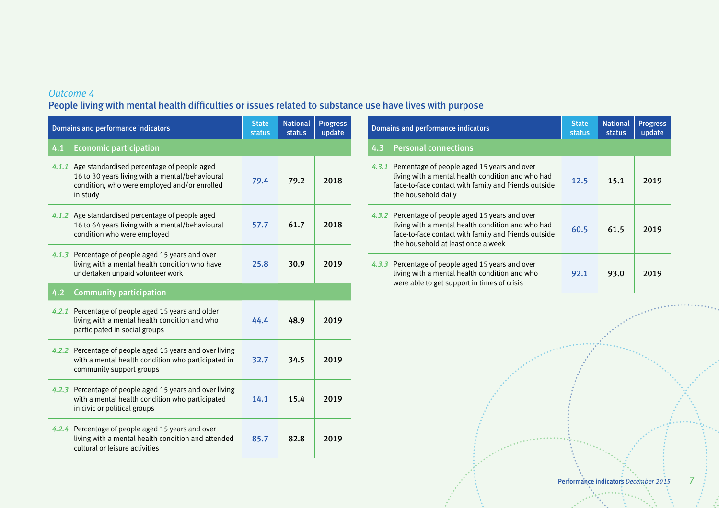# *Outcome 4*

# People living with mental health difficulties or issues related to substance use have lives with purpose

|     | <b>Domains and performance indicators</b>                                                                                                                       | <b>State</b><br>status | <b>National</b><br>status | <b>Progress</b><br>update | <b>Domains and performance indicators</b>                                                                                                                                                            | <b>State</b><br>status | <b>National</b><br>status | <b>Progress</b><br>update |
|-----|-----------------------------------------------------------------------------------------------------------------------------------------------------------------|------------------------|---------------------------|---------------------------|------------------------------------------------------------------------------------------------------------------------------------------------------------------------------------------------------|------------------------|---------------------------|---------------------------|
| 4.1 | <b>Economic participation</b>                                                                                                                                   |                        |                           |                           | <b>Personal connections</b><br>4.3                                                                                                                                                                   |                        |                           |                           |
|     | 4.1.1 Age standardised percentage of people aged<br>16 to 30 years living with a mental/behavioural<br>condition, who were employed and/or enrolled<br>in study | 79.4                   | 79.2                      | 2018                      | 4.3.1 Percentage of people aged 15 years and over<br>living with a mental health condition and who had<br>face-to-face contact with family and friends outside<br>the household daily                | 12.5                   | 15.1                      | 2019                      |
|     | 4.1.2 Age standardised percentage of people aged<br>16 to 64 years living with a mental/behavioural<br>condition who were employed                              | 57.7                   | 61.7                      | 2018                      | 4.3.2 Percentage of people aged 15 years and over<br>living with a mental health condition and who had<br>face-to-face contact with family and friends outside<br>the household at least once a week | 60.5                   | 61.5                      | 2019                      |
|     | 4.1.3 Percentage of people aged 15 years and over<br>living with a mental health condition who have<br>undertaken unpaid volunteer work                         | 25.8                   | 30.9                      | 2019                      | 4.3.3 Percentage of people aged 15 years and over<br>living with a mental health condition and who<br>were able to get support in times of crisis                                                    | 92.1                   | 93.0                      | 2019                      |
| 4.2 | <b>Community participation</b>                                                                                                                                  |                        |                           |                           |                                                                                                                                                                                                      |                        |                           |                           |
|     | 4.2.1 Percentage of people aged 15 years and older<br>living with a mental health condition and who<br>participated in social groups                            | 44.4                   | 48.9                      | 2019                      |                                                                                                                                                                                                      |                        |                           |                           |
|     | 4.2.2 Percentage of people aged 15 years and over living<br>with a mental health condition who participated in<br>community support groups                      | 32.7                   | 34.5                      | 2019                      |                                                                                                                                                                                                      |                        |                           |                           |
|     | 4.2.3 Percentage of people aged 15 years and over living<br>with a mental health condition who participated<br>in civic or political groups                     | 14.1                   | 15.4                      | 2019                      |                                                                                                                                                                                                      |                        |                           |                           |
|     | 4.2.4 Percentage of people aged 15 years and over<br>living with a mental health condition and attended<br>cultural or leisure activities                       | 85.7                   | 82.8                      | 2019                      |                                                                                                                                                                                                      |                        |                           |                           |

. . . . . . . . . . .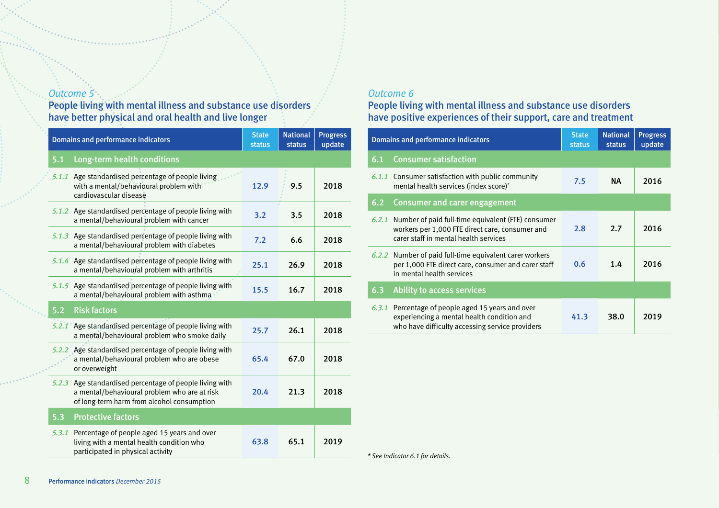# *Outcome 5*

People living with mental illness and substance use disorders have better physical and oral health and live longer

|       | <b>Domains and performance indicators</b>                                                                                                       | <b>State</b><br><b>status</b> | <b>National</b><br><b>status</b> | <b>Progress</b><br>update |
|-------|-------------------------------------------------------------------------------------------------------------------------------------------------|-------------------------------|----------------------------------|---------------------------|
| 5.1   | Long-term health conditions                                                                                                                     |                               |                                  |                           |
| 5.1.1 | Age standardised percentage of people living<br>with a mental/behavioural problem with<br>cardiovascular disease                                | 12.9                          | 9.5                              | 2018                      |
|       | 5.1.2 Age standardised percentage of people living with<br>a mental/behavioural problem with cancer                                             | 3.2                           | 3.5                              | 2018                      |
|       | 5.1.3 Age standardised percentage of people living with<br>a mental/behavioural problem with diabetes                                           | 7.2                           | 6.6                              | 2018                      |
|       | 5.1.4 Age standardised percentage of people living with<br>a mental/behavioural problem with arthritis                                          | 25.1                          | 26.9                             | 2018                      |
|       | 5.1.5 Age standardised percentage of people living with<br>a mental/behavioural problem with asthma                                             | 15.5                          | 16.7                             | 2018                      |
| 5.2   | <b>Risk factors</b>                                                                                                                             |                               |                                  |                           |
|       | 5.2.1 Age standardised percentage of people living with<br>a mental/behavioural problem who smoke daily                                         | 25.7                          | 26.1                             | 2018                      |
|       | Age standardised percentage of people living with<br>5.2.2<br>a mental/behavioural problem who are obese<br>or overweight                       |                               | 67.0                             | 2018                      |
| 5.2.3 | Age standardised percentage of people living with<br>a mental/behavioural problem who are at risk<br>of long-term harm from alcohol consumption | 20.4                          | 21.3                             | 2018                      |
| 5.3   | <b>Protective factors</b>                                                                                                                       |                               |                                  |                           |
| 5.3.1 | Percentage of people aged 15 years and over<br>living with a mental health condition who<br>participated in physical activity                   | 63.8                          | 65.1                             | 2019                      |

# *Outcome 6*

# People living with mental illness and substance use disorders have positive experiences of their support, care and treatment

|       | Domains and performance indicators                                                                                                                 | <b>State</b><br><b>status</b> | <b>National</b><br>status | <b>Progress</b><br>update |
|-------|----------------------------------------------------------------------------------------------------------------------------------------------------|-------------------------------|---------------------------|---------------------------|
| 6.1   | <b>Consumer satisfaction</b>                                                                                                                       |                               |                           |                           |
|       | 6.1.1 Consumer satisfaction with public community<br>mental health services (index score)*                                                         | 7.5                           | NA.                       | 2016                      |
| 6.2   | <b>Consumer and carer engagement</b>                                                                                                               |                               |                           |                           |
| 6.2.1 | Number of paid full-time equivalent (FTE) consumer<br>workers per 1,000 FTE direct care, consumer and<br>carer staff in mental health services     | 2.8                           | 2.7                       | 2016                      |
|       | 6.2.2 Number of paid full-time equivalent carer workers<br>per 1,000 FTE direct care, consumer and carer staff<br>in mental health services        |                               | 1.4                       | 2016                      |
| 6.3   | <b>Ability to access services</b>                                                                                                                  |                               |                           |                           |
|       | 6.3.1 Percentage of people aged 15 years and over<br>experiencing a mental health condition and<br>who have difficulty accessing service providers | 41.3                          | 38.0                      | 2019                      |

*\* See Indicator 6.1 for details.*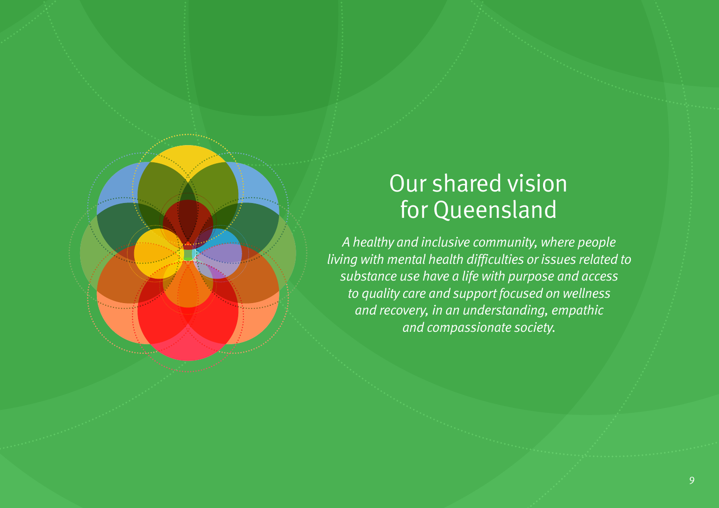# Our shared vision for Queensland

*A healthy and inclusive community, where people living with mental health difficulties or issues related to substance use have a life with purpose and access to quality care and support focused on wellness and recovery, in an understanding, empathic and compassionate society.*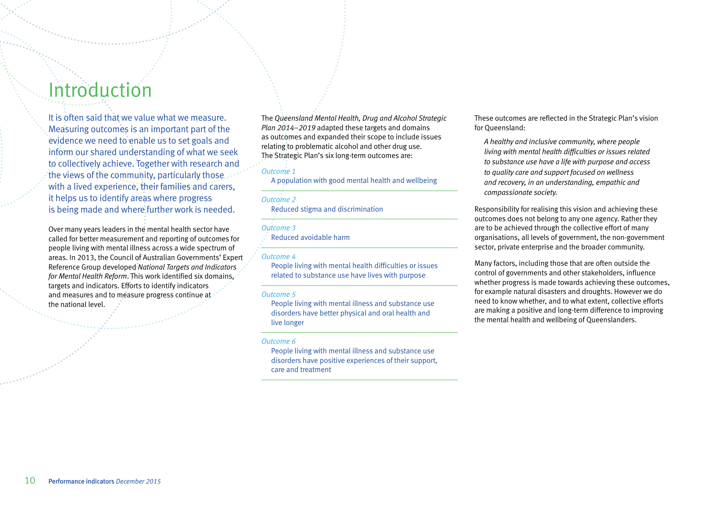# <span id="page-11-0"></span>Introduction

It is often said that we value what we measure. Measuring outcomes is an important part of the evidence we need to enable us to set goals and inform our shared understanding of what we seek to collectively achieve. Together with research and the views of the community, particularly those with a lived experience, their families and carers, it helps us to identify areas where progress is being made and where further work is needed.

Over many years leaders in the mental health sector have called for better measurement and reporting of outcomes for people living with mental illness across a wide spectrum of areas. In 2013, the Council of Australian Governments' Expert Reference Group developed *National Targets and Indicators for Mental Health Reform*. This work identified six domains, targets and indicators. Efforts to identify indicators and measures and to measure progress continue at the national level.

The *Queensland Mental Health, Drug and Alcohol Strategic Plan 2014–2019* adapted these targets and domains as outcomes and expanded their scope to include issues relating to problematic alcohol and other drug use. The Strategic Plan's six long-term outcomes are:

#### *Outcome 1*

A population with good mental health and wellbeing

#### *Outcome 2*

Reduced stigma and discrimination

#### *Outcome 3*

Reduced avoidable harm

#### *Outcome 4*

People living with mental health difficulties or issues related to substance use have lives with purpose

#### *Outcome 5*

People living with mental illness and substance use disorders have better physical and oral health and live longer

#### *Outcome 6*

People living with mental illness and substance use disorders have positive experiences of their support, care and treatment

These outcomes are reflected in the Strategic Plan's vision for Queensland:

*A healthy and inclusive community, where people living with mental health difficulties or issues related to substance use have a life with purpose and access to quality care and support focused on wellness and recovery, in an understanding, empathic and compassionate society.*

Responsibility for realising this vision and achieving these outcomes does not belong to any one agency. Rather they are to be achieved through the collective effort of many organisations, all levels of government, the non-government sector, private enterprise and the broader community.

Many factors, including those that are often outside the control of governments and other stakeholders, influence whether progress is made towards achieving these outcomes, for example natural disasters and droughts. However we do need to know whether, and to what extent, collective efforts are making a positive and long-term difference to improving the mental health and wellbeing of Queenslanders.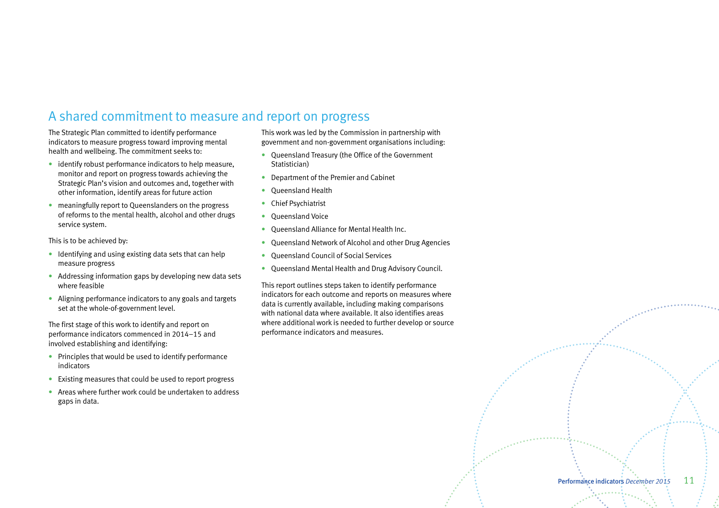# A shared commitment to measure and report on progress

The Strategic Plan committed to identify performance indicators to measure progress toward improving mental health and wellbeing. The commitment seeks to:

- identify robust performance indicators to help measure, monitor and report on progress towards achieving the Strategic Plan's vision and outcomes and, together with other information, identify areas for future action
- meaningfully report to Queenslanders on the progress of reforms to the mental health, alcohol and other drugs service system.

This is to be achieved by:

- Identifying and using existing data sets that can help measure progress
- Addressing information gaps by developing new data sets where feasible
- Aligning performance indicators to any goals and targets set at the whole-of-government level.

The first stage of this work to identify and report on performance indicators commenced in 2014–15 and involved establishing and identifying:

- Principles that would be used to identify performance indicators
- Existing measures that could be used to report progress
- Areas where further work could be undertaken to address gaps in data.

This work was led by the Commission in partnership with government and non-government organisations including:

- Queensland Treasury (the Office of the Government Statistician)
- Department of the Premier and Cabinet
- Queensland Health
- Chief Psychiatrist
- Queensland Voice
- Queensland Alliance for Mental Health Inc.
- Queensland Network of Alcohol and other Drug Agencies
- Queensland Council of Social Services
- Queensland Mental Health and Drug Advisory Council.

This report outlines steps taken to identify performance indicators for each outcome and reports on measures where data is currently available, including making comparisons with national data where available. It also identifies areas where additional work is needed to further develop or source performance indicators and measures.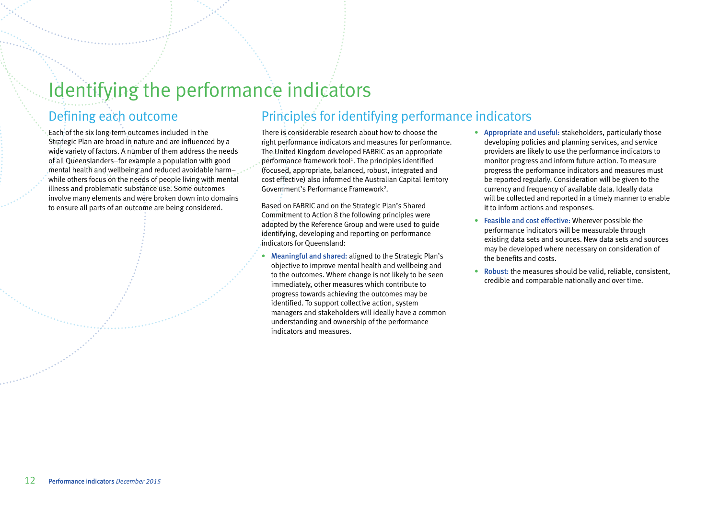# <span id="page-13-0"></span>Identifying the performance indicators

# Defining each outcome

Each of the six long-term outcomes included in the Strategic Plan are broad in nature and are influenced by a wide variety of factors. A number of them address the needs of all Queenslanders–for example a population with good mental health and wellbeing and reduced avoidable harmwhile others focus on the needs of people living with mental illness and problematic substance use. Some outcomes involve many elements and were broken down into domains to ensure all parts of an outcome are being considered.

There is considerable research about how to choose the right performance indicators and measures for performance. The United Kingdom developed FABRIC as an appropriate performance framework tool<sup>1</sup>. The principles identified (focused, appropriate, balanced, robust, integrated and

Principles for identifying performance indicators

Based on FABRIC and on the Strategic Plan's Shared Commitment to Action 8 the following principles were adopted by the Reference Group and were used to guide identifying, developing and reporting on performance indicators for Queensland:

cost effective) also informed the Australian Capital Territory

Government's Performance Framework<sup>2</sup>.

- Meaningful and shared: aligned to the Strategic Plan's objective to improve mental health and wellbeing and to the outcomes. Where change is not likely to be seen immediately, other measures which contribute to progress towards achieving the outcomes may be identified. To support collective action, system managers and stakeholders will ideally have a common understanding and ownership of the performance indicators and measures.
- Appropriate and useful: stakeholders, particularly those developing policies and planning services, and service providers are likely to use the performance indicators to monitor progress and inform future action. To measure progress the performance indicators and measures must be reported regularly. Consideration will be given to the currency and frequency of available data. Ideally data will be collected and reported in a timely manner to enable it to inform actions and responses.
- Feasible and cost effective: Wherever possible the performance indicators will be measurable through existing data sets and sources. New data sets and sources may be developed where necessary on consideration of the benefits and costs.
- Robust: the measures should be valid, reliable, consistent, credible and comparable nationally and over time.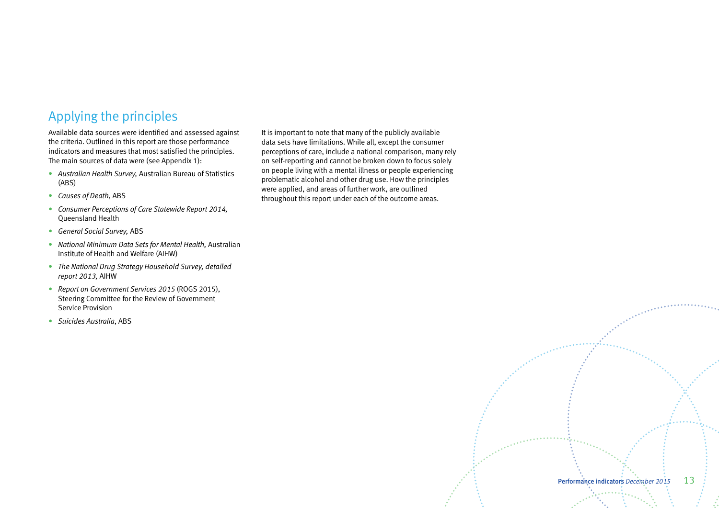# Applying the principles

Available data sources were identified and assessed against the criteria. Outlined in this report are those performance indicators and measures that most satisfied the principles. The main sources of data were (see Appendix 1):

- *Australian Health Survey,* Australian Bureau of Statistics (ABS)
- *Causes of Death*, ABS
- *Consumer Perceptions of Care Statewide Report 2014,* Queensland Health
- *General Social Survey,* ABS
- *National Minimum Data Sets for Mental Health,* Australian Institute of Health and Welfare (AIHW)
- *The National Drug Strategy Household Survey, detailed report 2013,* AIHW
- *Report on Government Services 2015* (ROGS 2015), Steering Committee for the Review of Government Service Provision
- *Suicides Australia*, ABS

It is important to note that many of the publicly available data sets have limitations. While all, except the consumer perceptions of care, include a national comparison, many rely on self-reporting and cannot be broken down to focus solely on people living with a mental illness or people experiencing problematic alcohol and other drug use. How the principles were applied, and areas of further work, are outlined throughout this report under each of the outcome areas.

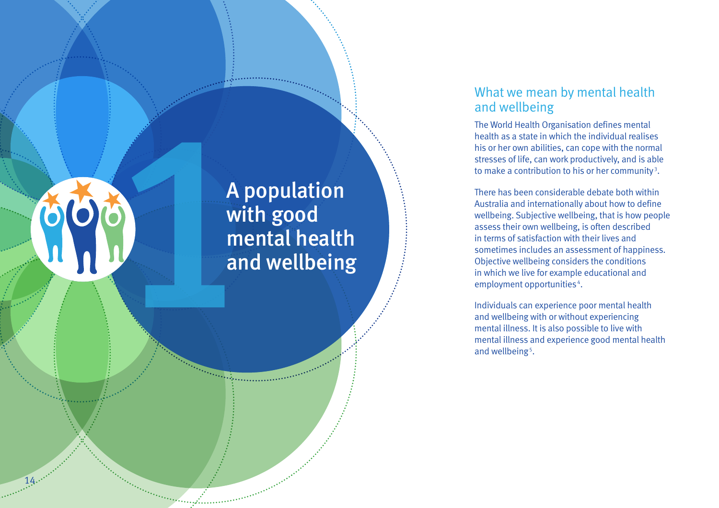# <span id="page-15-0"></span>A p<br>
Wit<br>
me<br>
am<br>
am

14

# A population with good mental health and wellbeing

# What we mean by mental health and wellbeing

The World Health Organisation defines mental health as a state in which the individual realises his or her own abilities, can cope with the normal stresses of life, can work productively, and is able to make a contribution to his or her community<sup>3</sup>.

There has been considerable debate both within Australia and internationally about how to define wellbeing. Subjective wellbeing, that is how people assess their own wellbeing, is often described in terms of satisfaction with their lives and sometimes includes an assessment of happiness. Objective wellbeing considers the conditions in which we live for example educational and employment opportunities 4 .

Individuals can experience poor mental health and wellbeing with or without experiencing mental illness. It is also possible to live with mental illness and experience good mental health and wellbeing 5 .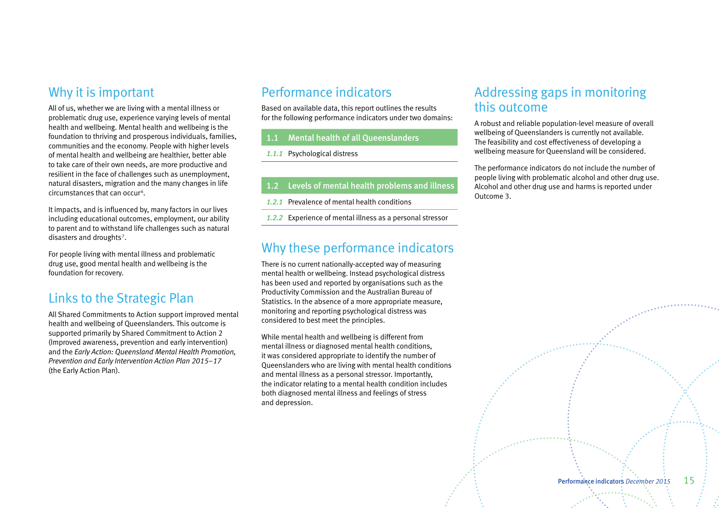# Why it is important

All of us, whether we are living with a mental illness or problematic drug use, experience varying levels of mental health and wellbeing. Mental health and wellbeing is the foundation to thriving and prosperous individuals, families, communities and the economy. People with higher levels of mental health and wellbeing are healthier, better able to take care of their own needs, are more productive and resilient in the face of challenges such as unemployment, natural disasters, migration and the many changes in life circumstances that can occur<sup>6</sup>.

It impacts, and is influenced by, many factors in our lives including educational outcomes, employment, our ability to parent and to withstand life challenges such as natural disasters and droughts<sup>7</sup>.

For people living with mental illness and problematic drug use, good mental health and wellbeing is the foundation for recovery.

# Links to the Strategic Plan

All Shared Commitments to Action support improved mental health and wellbeing of Queenslanders. This outcome is supported primarily by Shared Commitment to Action 2 (Improved awareness, prevention and early intervention) and the *Early Action: Queensland Mental Health Promotion, Prevention and Early Intervention Action Plan 2015–17* (the Early Action Plan).

# Performance indicators

Based on available data, this report outlines the results for the following performance indicators under two domains:

# 1.1 Mental health of all Queenslanders

- *1.1.1* Psychological distress
- 1.2 Levels of mental health problems and illness
- *1.2.1* Prevalence of mental health conditions
- *1.2.2* Experience of mental illness as a personal stressor

# Why these performance indicators

There is no current nationally-accepted way of measuring mental health or wellbeing. Instead psychological distress has been used and reported by organisations such as the Productivity Commission and the Australian Bureau of Statistics. In the absence of a more appropriate measure, monitoring and reporting psychological distress was considered to best meet the principles.

While mental health and wellbeing is different from mental illness or diagnosed mental health conditions, it was considered appropriate to identify the number of Queenslanders who are living with mental health conditions and mental illness as a personal stressor. Importantly, the indicator relating to a mental health condition includes both diagnosed mental illness and feelings of stress and depression.

# Addressing gaps in monitoring this outcome

A robust and reliable population-level measure of overall wellbeing of Queenslanders is currently not available. The feasibility and cost effectiveness of developing a wellbeing measure for Queensland will be considered.

The performance indicators do not include the number of people living with problematic alcohol and other drug use. Alcohol and other drug use and harms is reported under Outcome 3.

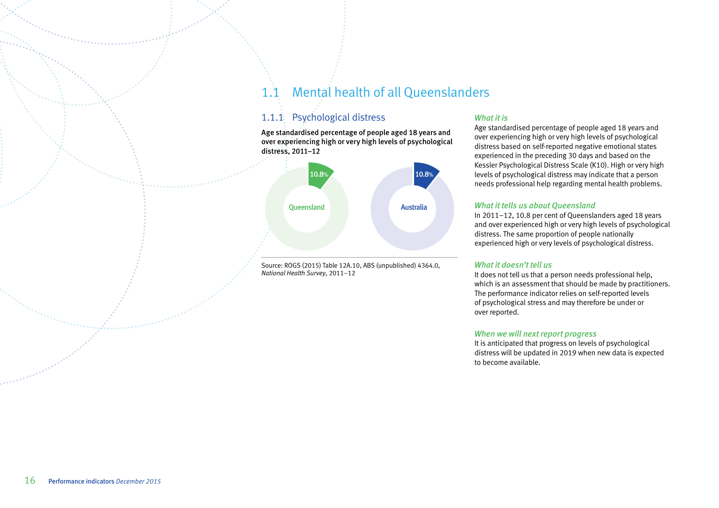# 1.1 Mental health of all Queenslanders

# 1.1.1 Psychological distress

Age standardised percentage of people aged 18 years and over experiencing high or very high levels of psychological distress, 2011–12



Source: ROGS (2015) Table 12A.10, ABS (unpublished) 4364.0, *National Health Survey*, 2011–12

# *What it is*

Age standardised percentage of people aged 18 years and over experiencing high or very high levels of psychological distress based on self-reported negative emotional states experienced in the preceding 30 days and based on the Kessler Psychological Distress Scale (K10). High or very high levels of psychological distress may indicate that a person needs professional help regarding mental health problems.

# *What it tells us about Queensland*

In 2011–12, 10.8 per cent of Queenslanders aged 18 years and over experienced high or very high levels of psychological distress. The same proportion of people nationally experienced high or very levels of psychological distress.

# *What it doesn't tell us*

It does not tell us that a person needs professional help, which is an assessment that should be made by practitioners. The performance indicator relies on self-reported levels of psychological stress and may therefore be under or over reported.

## *When we will next report progress*

It is anticipated that progress on levels of psychological distress will be updated in 2019 when new data is expected to become available.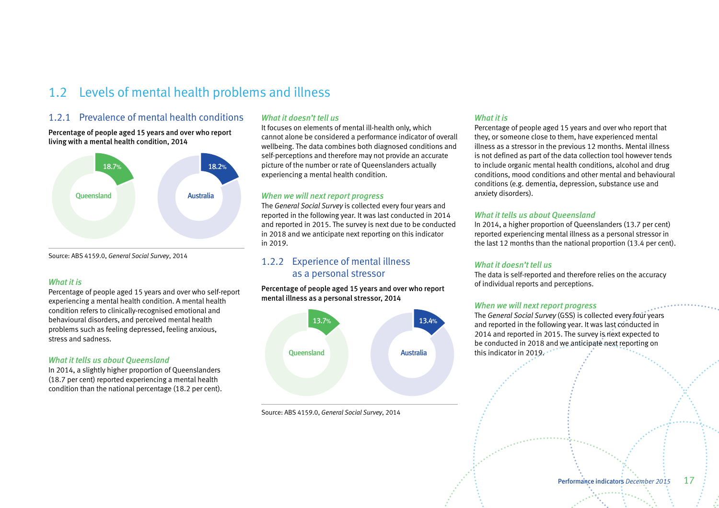# 1.2 Levels of mental health problems and illness

# 1.2.1 Prevalence of mental health conditions

Percentage of people aged 15 years and over who report living with a mental health condition, 2014



Source: ABS 4159.0, *General Social Survey*, 2014

#### *What it is*

Percentage of people aged 15 years and over who self-report experiencing a mental health condition. A mental health condition refers to clinically-recognised emotional and behavioural disorders, and perceived mental health problems such as feeling depressed, feeling anxious, stress and sadness.

## *What it tells us about Queensland*

In 2014, a slightly higher proportion of Queenslanders (18.7 per cent) reported experiencing a mental health condition than the national percentage (18.2 per cent).

# *What it doesn't tell us*

It focuses on elements of mental ill-health only, which cannot alone be considered a performance indicator of overall wellbeing. The data combines both diagnosed conditions and self-perceptions and therefore may not provide an accurate picture of the number or rate of Queenslanders actually experiencing a mental health condition.

#### *When we will next report progress*

The *General Social Survey* is collected every four years and reported in the following year. It was last conducted in 2014 and reported in 2015. The survey is next due to be conducted in 2018 and we anticipate next reporting on this indicator in 2019.

# 1.2.2 Experience of mental illness as a personal stressor

Percentage of people aged 15 years and over who report mental illness as a personal stressor, 2014



Source: ABS 4159.0, *General Social Survey*, 2014

# *What it is*

Percentage of people aged 15 years and over who report that they, or someone close to them, have experienced mental illness as a stressor in the previous 12 months. Mental illness is not defined as part of the data collection tool however tends to include organic mental health conditions, alcohol and drug conditions, mood conditions and other mental and behavioural conditions (e.g. dementia, depression, substance use and anxiety disorders).

#### *What it tells us about Queensland*

In 2014, a higher proportion of Queenslanders (13.7 per cent) reported experiencing mental illness as a personal stressor in the last 12 months than the national proportion (13.4 per cent).

#### *What it doesn't tell us*

The data is self-reported and therefore relies on the accuracy of individual reports and perceptions.

#### *When we will next report progress*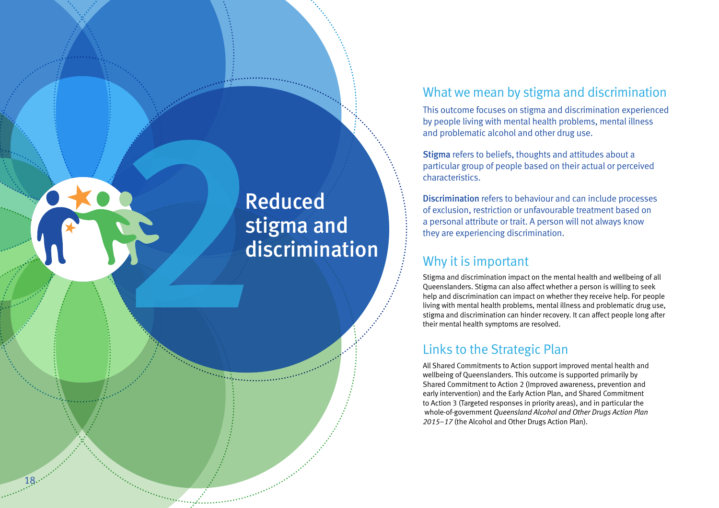# <span id="page-19-0"></span>Reduced<br>Stigma ar<br>discrimin stigma and discrimination

18....

# What we mean by stigma and discrimination

This outcome focuses on stigma and discrimination experienced by people living with mental health problems, mental illness and problematic alcohol and other drug use.

Stigma refers to beliefs, thoughts and attitudes about a particular group of people based on their actual or perceived characteristics.

Discrimination refers to behaviour and can include processes of exclusion, restriction or unfavourable treatment based on a personal attribute or trait. A person will not always know they are experiencing discrimination.

# Why it is important

Stigma and discrimination impact on the mental health and wellbeing of all Queenslanders. Stigma can also affect whether a person is willing to seek help and discrimination can impact on whether they receive help. For people living with mental health problems, mental illness and problematic drug use, stigma and discrimination can hinder recovery. It can affect people long after their mental health symptoms are resolved.

# Links to the Strategic Plan

All Shared Commitments to Action support improved mental health and wellbeing of Queenslanders. This outcome is supported primarily by Shared Commitment to Action 2 (Improved awareness, prevention and early intervention) and the Early Action Plan, and Shared Commitment to Action 3 (Targeted responses in priority areas), and in particular the whole-of-government *Queensland Alcohol and Other Drugs Action Plan 2015–17* (the Alcohol and Other Drugs Action Plan).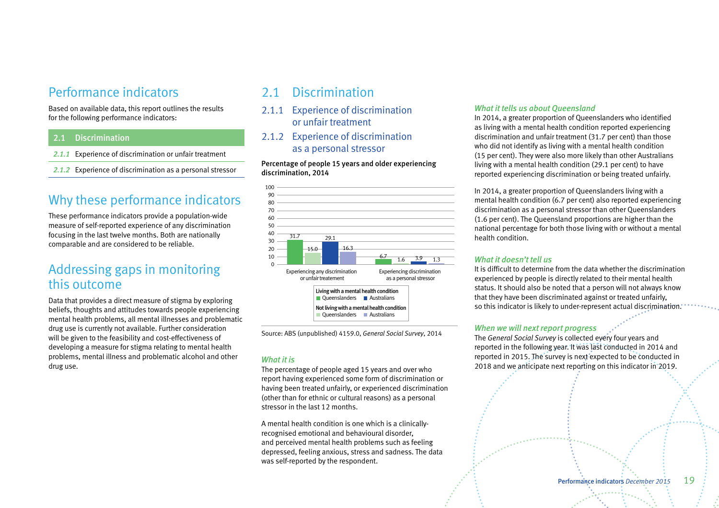# Performance indicators

Based on available data, this report outlines the results for the following performance indicators:

# 2.1 Discrimination

- *2.1.1* Experience of discrimination or unfair treatment
- *2.1.2* Experience of discrimination as a personal stressor

# Why these performance indicators

These performance indicators provide a population-wide measure of self-reported experience of any discrimination focusing in the last twelve months. Both are nationally comparable and are considered to be reliable.

# Addressing gaps in monitoring this outcome

Data that provides a direct measure of stigma by exploring beliefs, thoughts and attitudes towards people experiencing mental health problems, all mental illnesses and problematic drug use is currently not available. Further consideration will be given to the feasibility and cost-effectiveness of developing a measure for stigma relating to mental health problems, mental illness and problematic alcohol and other drug use.

# 2.1 Discrimination

- 2.1.1 Experience of discrimination or unfair treatment
- 2.1.2 Experience of discrimination as a personal stressor

Percentage of people 15 years and older experiencing discrimination, 2014



Source: ABS (unpublished) 4159.0, *General Social Survey*, 2014

# *What it is*

The percentage of people aged 15 years and over who report having experienced some form of discrimination or having been treated unfairly, or experienced discrimination (other than for ethnic or cultural reasons) as a personal stressor in the last 12 months.

A mental health condition is one which is a clinicallyrecognised emotional and behavioural disorder, and perceived mental health problems such as feeling depressed, feeling anxious, stress and sadness. The data was self-reported by the respondent.

#### *What it tells us about Queensland*

In 2014, a greater proportion of Queenslanders who identified as living with a mental health condition reported experiencing discrimination and unfair treatment (31.7 per cent) than those who did not identify as living with a mental health condition (15 per cent). They were also more likely than other Australians living with a mental health condition (29.1 per cent) to have reported experiencing discrimination or being treated unfairly.

In 2014, a greater proportion of Queenslanders living with a mental health condition (6.7 per cent) also reported experiencing discrimination as a personal stressor than other Queenslanders (1.6 per cent). The Queensland proportions are higher than the national percentage for both those living with or without a mental health condition.

## *What it doesn't tell us*

It is difficult to determine from the data whether the discrimination experienced by people is directly related to their mental health status. It should also be noted that a person will not always know that they have been discriminated against or treated unfairly, so this indicator is likely to under-represent actual discrimination.

## *When we will next report progress*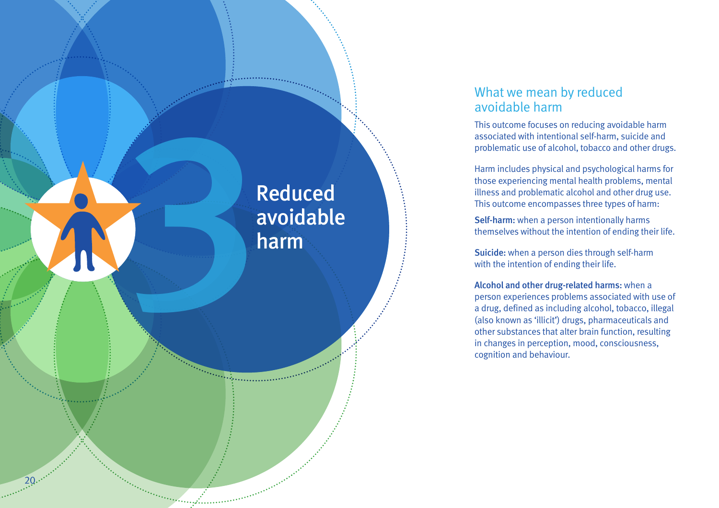# <span id="page-21-0"></span>3 Reduced avoidable harm

 $20...$ 

# What we mean by reduced avoidable harm

This outcome focuses on reducing avoidable harm associated with intentional self-harm, suicide and problematic use of alcohol, tobacco and other drugs.

Harm includes physical and psychological harms for those experiencing mental health problems, mental illness and problematic alcohol and other drug use. This outcome encompasses three types of harm:

Self-harm: when a person intentionally harms themselves without the intention of ending their life.

Suicide: when a person dies through self-harm with the intention of ending their life.

Alcohol and other drug-related harms: when a person experiences problems associated with use of a drug, defined as including alcohol, tobacco, illegal (also known as 'illicit') drugs, pharmaceuticals and other substances that alter brain function, resulting in changes in perception, mood, consciousness, cognition and behaviour.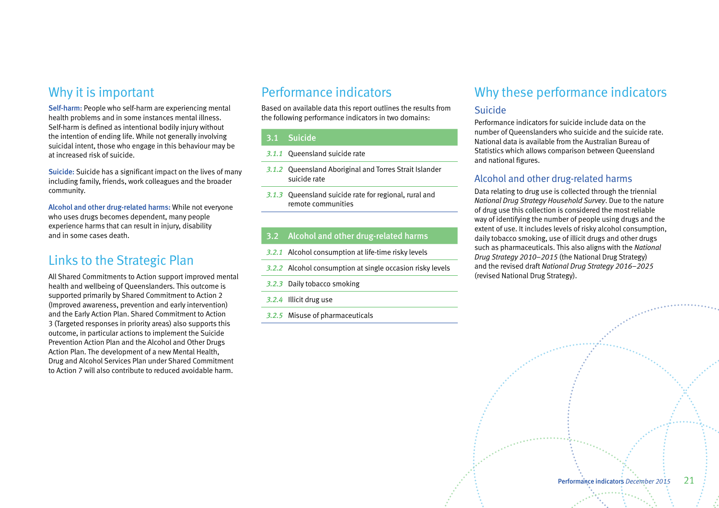# Why it is important

Self-harm: People who self-harm are experiencing mental health problems and in some instances mental illness. Self-harm is defined as intentional bodily injury without the intention of ending life. While not generally involving suicidal intent, those who engage in this behaviour may be at increased risk of suicide.

Suicide: Suicide has a significant impact on the lives of many including family, friends, work colleagues and the broader community.

Alcohol and other drug-related harms: While not everyone who uses drugs becomes dependent, many people experience harms that can result in injury, disability and in some cases death.

# Links to the Strategic Plan

All Shared Commitments to Action support improved mental health and wellbeing of Queenslanders. This outcome is supported primarily by Shared Commitment to Action 2 (Improved awareness, prevention and early intervention) and the Early Action Plan. Shared Commitment to Action 3 (Targeted responses in priority areas) also supports this outcome, in particular actions to implement the Suicide Prevention Action Plan and the Alcohol and Other Drugs Action Plan. The development of a new Mental Health, Drug and Alcohol Services Plan under Shared Commitment to Action 7 will also contribute to reduced avoidable harm.

# Performance indicators

Based on available data this report outlines the results from the following performance indicators in two domains:

# 3.1 Suicide

- *3.1.1* Queensland suicide rate
- *3.1.2* Queensland Aboriginal and Torres Strait Islander suicide rate
- *3.1.3* Queensland suicide rate for regional, rural and remote communities

# 3.2 Alcohol and other drug-related harms

- *3.2.1* Alcohol consumption at life-time risky levels
- *3.2.2* Alcohol consumption at single occasion risky levels
- *3.2.3* Daily tobacco smoking
- *3.2.4* Illicit drug use
- *3.2.5* Misuse of pharmaceuticals

# Why these performance indicators

# Suicide

Performance indicators for suicide include data on the number of Queenslanders who suicide and the suicide rate. National data is available from the Australian Bureau of Statistics which allows comparison between Queensland and national figures.

# Alcohol and other drug-related harms

Data relating to drug use is collected through the triennial *National Drug Strategy Household Survey*. Due to the nature of drug use this collection is considered the most reliable way of identifying the number of people using drugs and the extent of use. It includes levels of risky alcohol consumption, daily tobacco smoking, use of illicit drugs and other drugs such as pharmaceuticals. This also aligns with the *National Drug Strategy 2010–2015* (the National Drug Strategy) and the revised draft *National Drug Strategy 2016–2025*  (revised National Drug Strategy).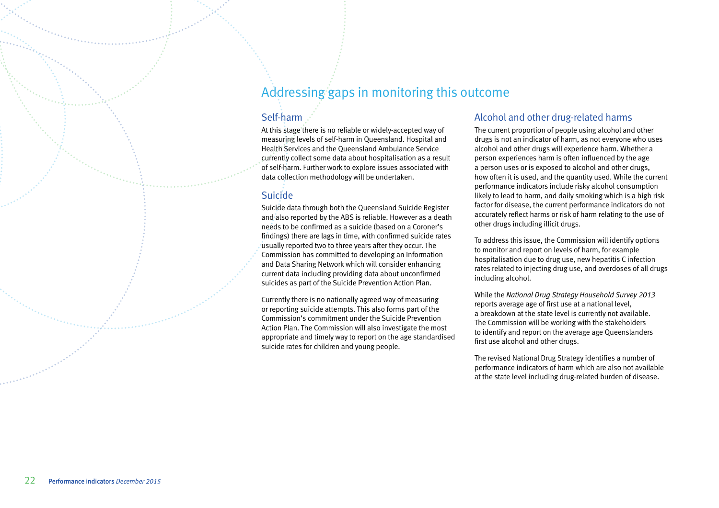# Addressing gaps in monitoring this outcome

# Self-harm

At this stage there is no reliable or widely-accepted way of measuring levels of self-harm in Queensland. Hospital and Health Services and the Queensland Ambulance Service currently collect some data about hospitalisation as a result of self-harm. Further work to explore issues associated with data collection methodology will be undertaken.

# Suicide

Suicide data through both the Queensland Suicide Register and also reported by the ABS is reliable. However as a death needs to be confirmed as a suicide (based on a Coroner's findings) there are lags in time, with confirmed suicide rates usually reported two to three years after they occur. The Commission has committed to developing an Information and Data Sharing Network which will consider enhancing current data including providing data about unconfirmed suicides as part of the Suicide Prevention Action Plan.

Currently there is no nationally agreed way of measuring or reporting suicide attempts. This also forms part of the Commission's commitment under the Suicide Prevention Action Plan. The Commission will also investigate the most appropriate and timely way to report on the age standardised suicide rates for children and young people.

# Alcohol and other drug-related harms

The current proportion of people using alcohol and other drugs is not an indicator of harm, as not everyone who uses alcohol and other drugs will experience harm. Whether a person experiences harm is often influenced by the age a person uses or is exposed to alcohol and other drugs, how often it is used, and the quantity used. While the current performance indicators include risky alcohol consumption likely to lead to harm, and daily smoking which is a high risk factor for disease, the current performance indicators do not accurately reflect harms or risk of harm relating to the use of other drugs including illicit drugs.

To address this issue, the Commission will identify options to monitor and report on levels of harm, for example hospitalisation due to drug use, new hepatitis C infection rates related to injecting drug use, and overdoses of all drugs including alcohol.

While the *National Drug Strategy Household Survey 2013* reports average age of first use at a national level, a breakdown at the state level is currently not available. The Commission will be working with the stakeholders to identify and report on the average age Queenslanders first use alcohol and other drugs.

The revised National Drug Strategy identifies a number of performance indicators of harm which are also not available at the state level including drug-related burden of disease.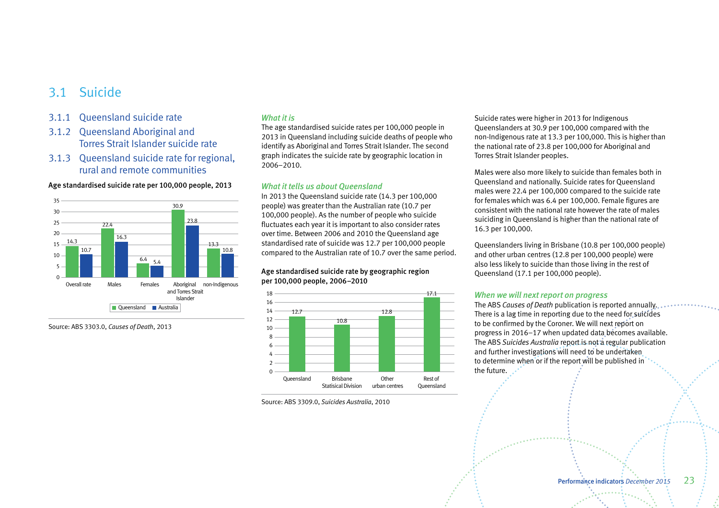# 3.1 Suicide

- 3.1.1 Queensland suicide rate
- 3.1.2 Queensland Aboriginal and Torres Strait Islander suicide rate
- 3.1.3 Queensland suicide rate for regional, rural and remote communities

Age standardised suicide rate per 100,000 people, 2013



Source: ABS 3303.0, *Causes of Death*, 2013

#### *What it is*

The age standardised suicide rates per 100,000 people in 2013 in Queensland including suicide deaths of people who identify as Aboriginal and Torres Strait Islander. The second graph indicates the suicide rate by geographic location in 2006–2010.

#### *What it tells us about Queensland*

In 2013 the Queensland suicide rate (14.3 per 100,000 people) was greater than the Australian rate (10.7 per 100,000 people). As the number of people who suicide fluctuates each year it is important to also consider rates over time. Between 2006 and 2010 the Queensland age standardised rate of suicide was 12.7 per 100,000 people compared to the Australian rate of 10.7 over the same period.

#### Age standardised suicide rate by geographic region per 100,000 people, 2006–2010



Source: ABS 3309.0, *Suicides Australia*, 2010

Suicide rates were higher in 2013 for Indigenous Queenslanders at 30.9 per 100,000 compared with the non-Indigenous rate at 13.3 per 100,000. This is higher than the national rate of 23.8 per 100,000 for Aboriginal and Torres Strait Islander peoples.

Males were also more likely to suicide than females both in Queensland and nationally. Suicide rates for Queensland males were 22.4 per 100,000 compared to the suicide rate for females which was 6.4 per 100,000. Female figures are consistent with the national rate however the rate of males suiciding in Queensland is higher than the national rate of 16.3 per 100,000.

Queenslanders living in Brisbane (10.8 per 100,000 people) and other urban centres (12.8 per 100,000 people) were also less likely to suicide than those living in the rest of Queensland (17.1 per 100,000 people).

#### *When we will next report on progress*

The ABS *Causes of Death* publication is reported annually. There is a lag time in reporting due to the need for suicides to be confirmed by the Coroner. We will next report on progress in 2016–17 when updated data becomes available. The ABS *Suicides Australia* report is not a regular publication and further investigations will need to be undertaken to determine when or if the report will be published in the future.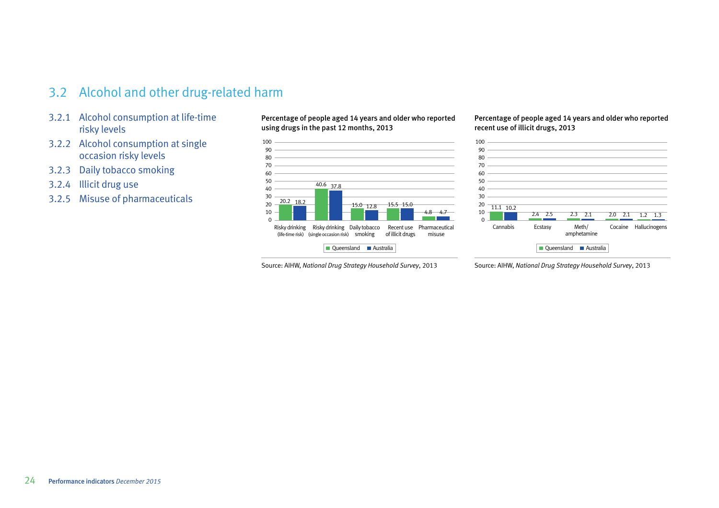# 3.2 Alcohol and other drug-related harm

- 3.2.1 Alcohol consumption at life-time risky levels
- 3.2.2 Alcohol consumption at single occasion risky levels
- 3.2.3 Daily tobacco smoking
- 3.2.4 Illicit drug use
- 3.2.5 Misuse of pharmaceuticals

Percentage of people aged 14 years and older who reported using drugs in the past 12 months, 2013



Source: AIHW, *National Drug Strategy Household Survey*, 2013

Percentage of people aged 14 years and older who reported recent use of illicit drugs, 2013



Source: AIHW, *National Drug Strategy Household Survey*, 2013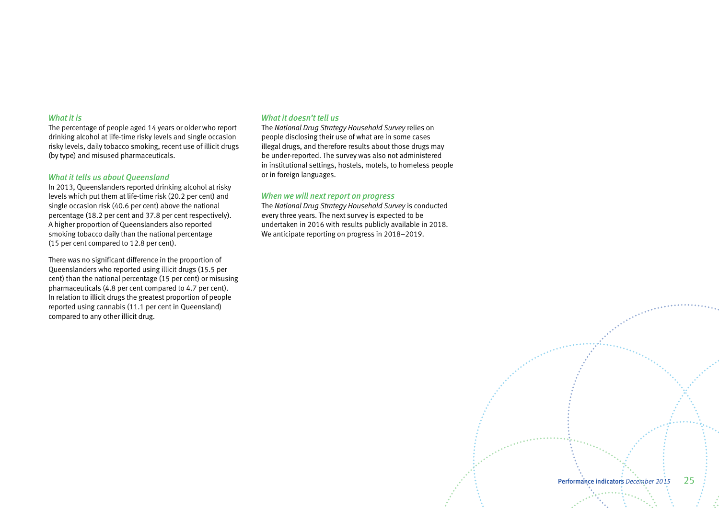#### *What it is*

The percentage of people aged 14 years or older who report drinking alcohol at life-time risky levels and single occasion risky levels, daily tobacco smoking, recent use of illicit drugs (by type) and misused pharmaceuticals.

#### *What it tells us about Queensland*

In 2013, Queenslanders reported drinking alcohol at risky levels which put them at life-time risk (20.2 per cent) and single occasion risk (40.6 per cent) above the national percentage (18.2 per cent and 37.8 per cent respectively). A higher proportion of Queenslanders also reported smoking tobacco daily than the national percentage (15 per cent compared to 12.8 per cent).

There was no significant difference in the proportion of Queenslanders who reported using illicit drugs (15.5 per cent) than the national percentage (15 per cent) or misusing pharmaceuticals (4.8 per cent compared to 4.7 per cent). In relation to illicit drugs the greatest proportion of people reported using cannabis (11.1 per cent in Queensland) compared to any other illicit drug.

#### *What it doesn't tell us*

The *National Drug Strategy Household Survey* relies on people disclosing their use of what are in some cases illegal drugs, and therefore results about those drugs may be under-reported. The survey was also not administered in institutional settings, hostels, motels, to homeless people or in foreign languages.

### *When we will next report on progress*

The *National Drug Strategy Household Survey* is conducted every three years. The next survey is expected to be undertaken in 2016 with results publicly available in 2018. We anticipate reporting on progress in 2018–2019.

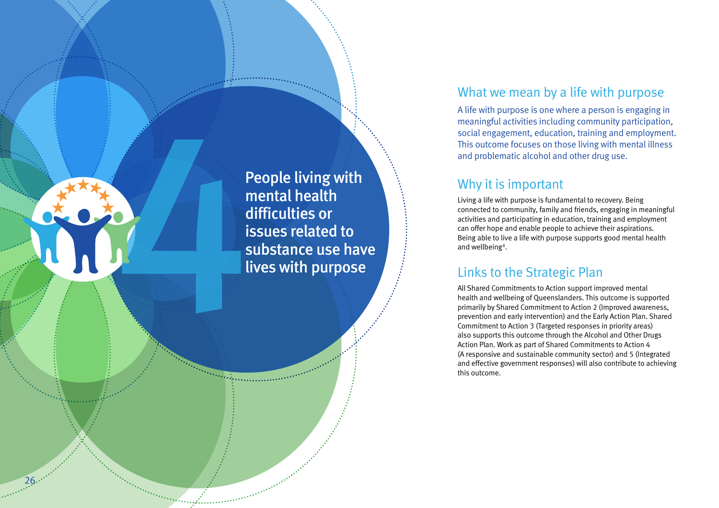<span id="page-27-0"></span>People living with<br>
mental health<br>
difficulties or<br>
issues related to<br>
substance use hav<br>
lives with purpose mental health difficulties or issues related to substance use have lives with purpose

 $26...$ 

# What we mean by a life with purpose

A life with purpose is one where a person is engaging in meaningful activities including community participation, social engagement, education, training and employment. This outcome focuses on those living with mental illness and problematic alcohol and other drug use.

# Why it is important

Living a life with purpose is fundamental to recovery. Being connected to community, family and friends, engaging in meaningful activities and participating in education, training and employment can offer hope and enable people to achieve their aspirations. Being able to live a life with purpose supports good mental health and wellbeing 8 .

# Links to the Strategic Plan

All Shared Commitments to Action support improved mental health and wellbeing of Queenslanders. This outcome is supported primarily by Shared Commitment to Action 2 (Improved awareness, prevention and early intervention) and the Early Action Plan. Shared Commitment to Action 3 (Targeted responses in priority areas) also supports this outcome through the Alcohol and Other Drugs Action Plan. Work as part of Shared Commitments to Action 4 (A responsive and sustainable community sector) and 5 (Integrated and effective government responses) will also contribute to achieving this outcome.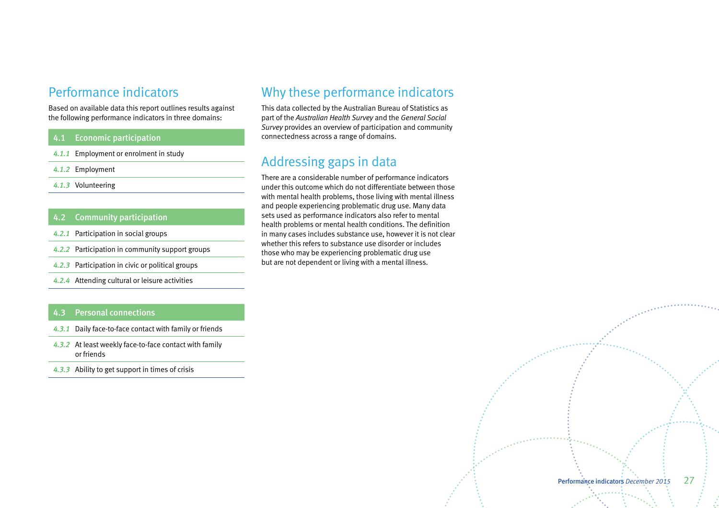# Performance indicators

Based on available data this report outlines results against the following performance indicators in three domains:

# 4.1 Economic participation

- *4.1.1* Employment or enrolment in study
- *4.1.2* Employment
- *4.1.3* Volunteering

# 4.2 Community participation

- *4.2.1* Participation in social groups
- *4.2.2* Participation in community support groups
- *4.2.3* Participation in civic or political groups
- *4.2.4* Attending cultural or leisure activities

### 4.3 Personal connections

- *4.3.1* Daily face-to-face contact with family or friends
- *4.3.2* At least weekly face-to-face contact with family or friends
- *4.3.3* Ability to get support in times of crisis

# Why these performance indicators

This data collected by the Australian Bureau of Statistics as part of the *Australian Health Survey* and the *General Social Survey* provides an overview of participation and community connectedness across a range of domains.

# Addressing gaps in data

There are a considerable number of performance indicators under this outcome which do not differentiate between those with mental health problems, those living with mental illness and people experiencing problematic drug use. Many data sets used as performance indicators also refer to mental health problems or mental health conditions. The definition in many cases includes substance use, however it is not clear whether this refers to substance use disorder or includes those who may be experiencing problematic drug use but are not dependent or living with a mental illness.

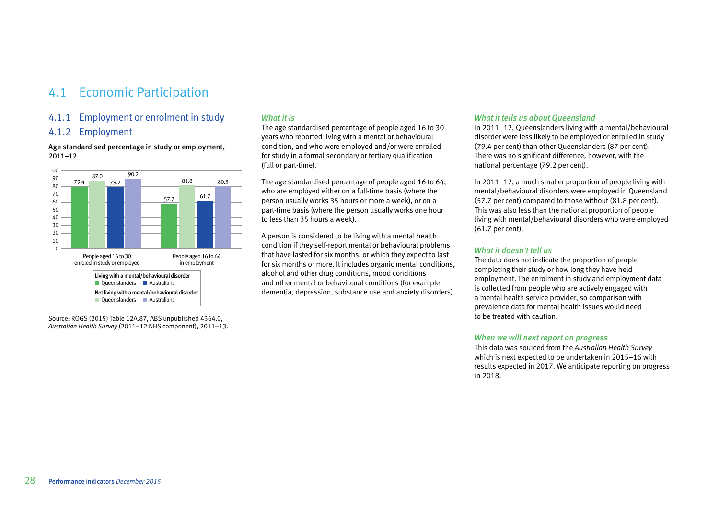# 4.1 Economic Participation

# 4.1.1 Employment or enrolment in study

# 4.1.2 Employment

#### Age standardised percentage in study or employment, 2011–12



Source: ROGS (2015) Table 12A.87, ABS unpublished 4364.0, *Australian Health Survey* (2011–12 NHS component), 2011–13.

# *What it is*

The age standardised percentage of people aged 16 to 30 years who reported living with a mental or behavioural condition, and who were employed and/or were enrolled for study in a formal secondary or tertiary qualification (full or part-time).

The age standardised percentage of people aged 16 to 64, who are employed either on a full-time basis (where the person usually works 35 hours or more a week), or on a part-time basis (where the person usually works one hour to less than 35 hours a week).

A person is considered to be living with a mental health condition if they self-report mental or behavioural problems that have lasted for six months, or which they expect to last for six months or more. It includes organic mental conditions, alcohol and other drug conditions, mood conditions and other mental or behavioural conditions (for example dementia, depression, substance use and anxiety disorders).

#### *What it tells us about Queensland*

In 2011–12, Queenslanders living with a mental/behavioural disorder were less likely to be employed or enrolled in study (79.4 per cent) than other Queenslanders (87 per cent). There was no significant difference, however, with the national percentage (79.2 per cent).

In 2011–12, a much smaller proportion of people living with mental/behavioural disorders were employed in Queensland (57.7 per cent) compared to those without (81.8 per cent). This was also less than the national proportion of people living with mental/behavioural disorders who were employed (61.7 per cent).

# *What it doesn't tell us*

The data does not indicate the proportion of people completing their study or how long they have held employment. The enrolment in study and employment data is collected from people who are actively engaged with a mental health service provider, so comparison with prevalence data for mental health issues would need to be treated with caution.

## *When we will next report on progress*

This data was sourced from the *Australian Health Survey* which is next expected to be undertaken in 2015–16 with results expected in 2017. We anticipate reporting on progress in 2018.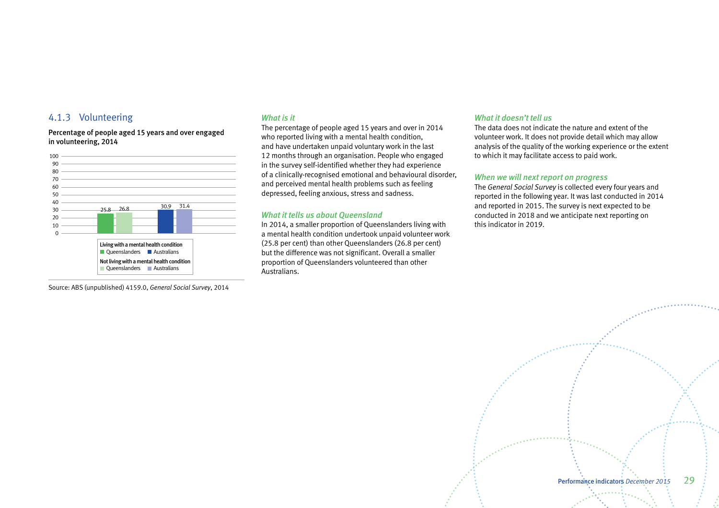# 4.1.3 Volunteering

Percentage of people aged 15 years and over engaged in volunteering, 2014



Source: ABS (unpublished) 4159.0, *General Social Survey*, 2014

#### *What is it*

The percentage of people aged 15 years and over in 2014 who reported living with a mental health condition, and have undertaken unpaid voluntary work in the last 12 months through an organisation. People who engaged in the survey self-identified whether they had experience of a clinically-recognised emotional and behavioural disorder, and perceived mental health problems such as feeling depressed, feeling anxious, stress and sadness.

#### *What it tells us about Queensland*

In 2014, a smaller proportion of Queenslanders living with a mental health condition undertook unpaid volunteer work (25.8 per cent) than other Queenslanders (26.8 per cent) but the difference was not significant. Overall a smaller proportion of Queenslanders volunteered than other Australians.

#### *What it doesn't tell us*

The data does not indicate the nature and extent of the volunteer work. It does not provide detail which may allow analysis of the quality of the working experience or the extent to which it may facilitate access to paid work.

#### *When we will next report on progress*

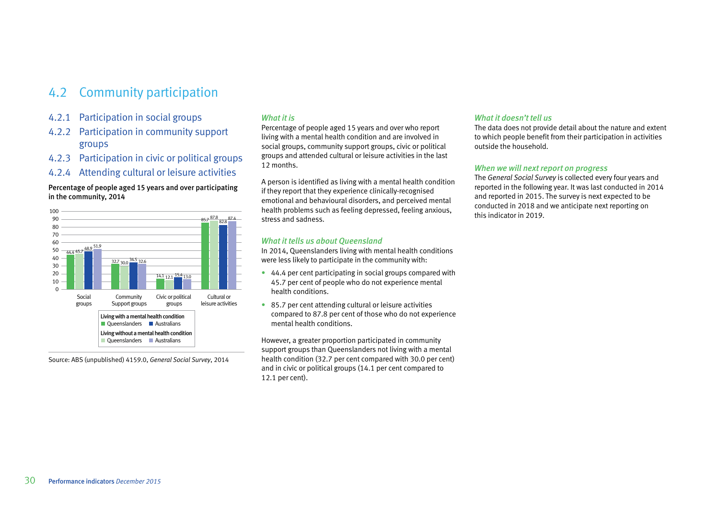# 4.2 Community participation

- 4.2.1 Participation in social groups
- 4.2.2 Participation in community support groups
- 4.2.3 Participation in civic or political groups
- 4.2.4 Attending cultural or leisure activities

# Percentage of people aged 15 years and over participating in the community, 2014



Source: ABS (unpublished) 4159.0, *General Social Survey*, 2014

# *What it is*

Percentage of people aged 15 years and over who report living with a mental health condition and are involved in social groups, community support groups, civic or political groups and attended cultural or leisure activities in the last 12 months.

A person is identified as living with a mental health condition if they report that they experience clinically-recognised emotional and behavioural disorders, and perceived mental health problems such as feeling depressed, feeling anxious, stress and sadness.

# *What it tells us about Queensland*

In 2014, Queenslanders living with mental health conditions were less likely to participate in the community with:

- 44.4 per cent participating in social groups compared with 45.7 per cent of people who do not experience mental health conditions.
- 85.7 per cent attending cultural or leisure activities compared to 87.8 per cent of those who do not experience mental health conditions.

However, a greater proportion participated in community support groups than Queenslanders not living with a mental health condition (32.7 per cent compared with 30.0 per cent) and in civic or political groups (14.1 per cent compared to 12.1 per cent).

## *What it doesn't tell us*

The data does not provide detail about the nature and extent to which people benefit from their participation in activities outside the household.

#### *When we will next report on progress*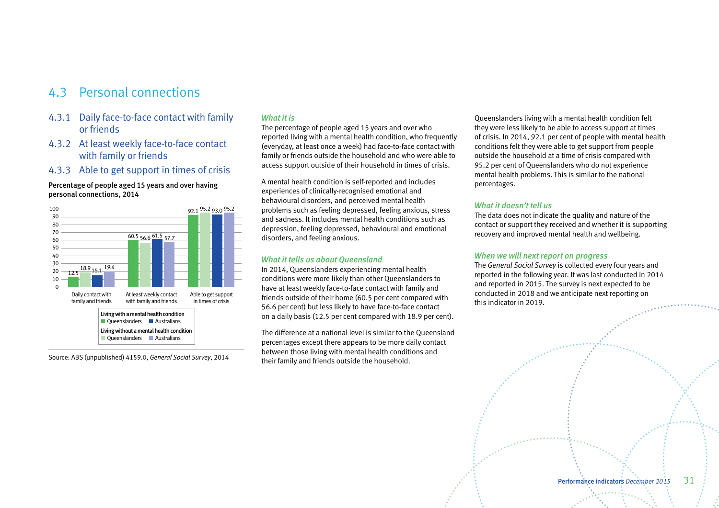# 4.3 Personal connections

- 4.3.1 Daily face-to-face contact with family or friends
- 4.3.2 At least weekly face-to-face contact with family or friends
- 4.3.3 Able to get support in times of crisis

#### Percentage of people aged 15 years and over having personal connections, 2014



Source: ABS (unpublished) 4159.0, *General Social Survey*, 2014

# *What it is*

The percentage of people aged 15 years and over who reported living with a mental health condition, who frequently (everyday, at least once a week) had face-to-face contact with family or friends outside the household and who were able to access support outside of their household in times of crisis.

A mental health condition is self-reported and includes experiences of clinically-recognised emotional and behavioural disorders, and perceived mental health problems such as feeling depressed, feeling anxious, stress and sadness. It includes mental health conditions such as depression, feeling depressed, behavioural and emotional disorders, and feeling anxious.

#### *What it tells us about Queensland*

In 2014, Queenslanders experiencing mental health conditions were more likely than other Queenslanders to have at least weekly face-to-face contact with family and friends outside of their home (60.5 per cent compared with 56.6 per cent) but less likely to have face-to-face contact on a daily basis (12.5 per cent compared with 18.9 per cent).

The difference at a national level is similar to the Queensland percentages except there appears to be more daily contact between those living with mental health conditions and their family and friends outside the household.

Queenslanders living with a mental health condition felt they were less likely to be able to access support at times of crisis. In 2014, 92.1 per cent of people with mental health conditions felt they were able to get support from people outside the household at a time of crisis compared with 95.2 per cent of Queenslanders who do not experience mental health problems. This is similar to the national percentages.

#### *What it doesn't tell us*

The data does not indicate the quality and nature of the contact or support they received and whether it is supporting recovery and improved mental health and wellbeing.

#### *When we will next report on progress*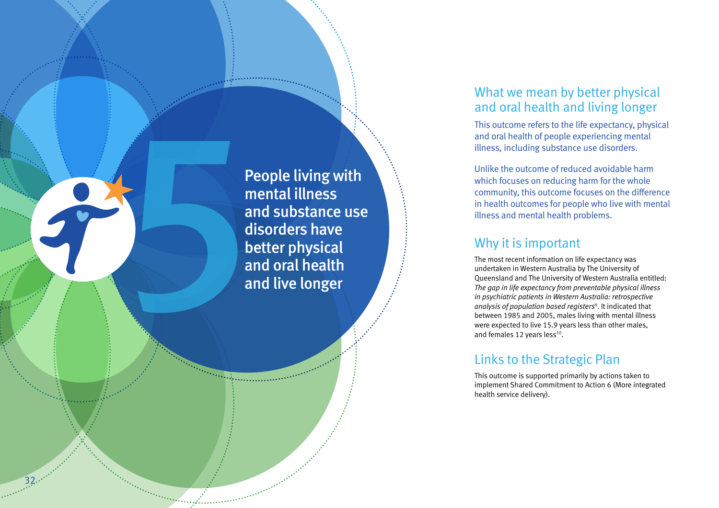<span id="page-33-0"></span>People living with<br>
mental illness<br>
and substance use<br>
disorders have<br>
better physical<br>
and oral health<br>
and live longer mental illness and substance use disorders have better physical and oral health and live longer

32

# What we mean by better physical and oral health and living longer

This outcome refers to the life expectancy, physical and oral health of people experiencing mental illness, including substance use disorders.

Unlike the outcome of reduced avoidable harm which focuses on reducing harm for the whole community, this outcome focuses on the difference in health outcomes for people who live with mental illness and mental health problems.

# Why it is important

The most recent information on life expectancy was undertaken in Western Australia by The University of Queensland and The University of Western Australia entitled: *The gap in life expectancy from preventable physical illness in psychiatric patients in Western Australia: retrospective analysis of population based registers* 9 . It indicated that between 1985 and 2005, males living with mental illness were expected to live 15.9 years less than other males, and females 12 years less $^{10}$ .

# Links to the Strategic Plan

This outcome is supported primarily by actions taken to implement Shared Commitment to Action 6 (More integrated health service delivery).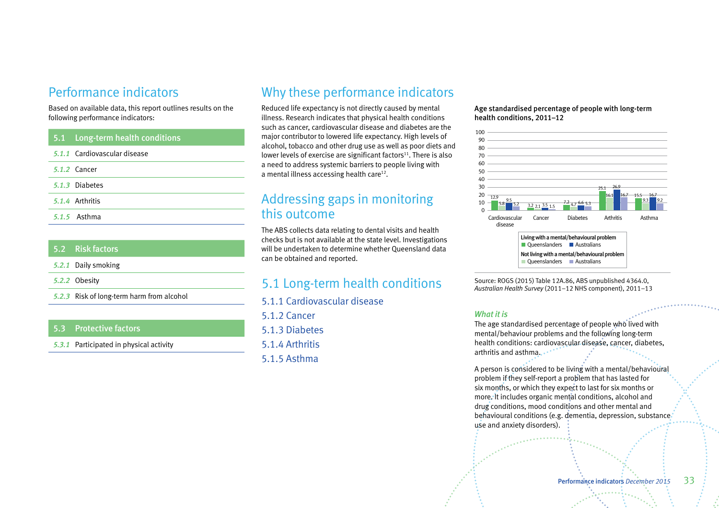# Performance indicators

Based on available data, this report outlines results on the following performance indicators:

| 5.1 Long-term health conditions |
|---------------------------------|
| 5.1.1 Cardiovascular disease    |
| 5.1.2 Cancer                    |
| 5.1.3 Diabetes                  |
| 5.1.4 Arthritis                 |
| 5.1.5 Asthma                    |

|  | 5.2 Risk factors                          |
|--|-------------------------------------------|
|  | 5.2.1 Daily smoking                       |
|  | 5.2.2 Obesity                             |
|  | 5.2.3 Risk of long-term harm from alcohol |
|  |                                           |

# 5.3 Protective factors

*5.3.1* Participated in physical activity

# Why these performance indicators

Reduced life expectancy is not directly caused by mental illness. Research indicates that physical health conditions such as cancer, cardiovascular disease and diabetes are the major contributor to lowered life expectancy. High levels of alcohol, tobacco and other drug use as well as poor diets and lower levels of exercise are significant factors $11$ . There is also a need to address systemic barriers to people living with a mental illness accessing health care<sup>12</sup>.

# Addressing gaps in monitoring this outcome

The ABS collects data relating to dental visits and health checks but is not available at the state level. Investigations will be undertaken to determine whether Queensland data can be obtained and reported.

# 5.1 Long-term health conditions

5.1.1 Cardiovascular disease

5.1.2 Cancer 5.1.3 Diabetes

5.1.4 Arthritis

5.1.5 Asthma

Age standardised percentage of people with long-term health conditions, 2011–12



Source: ROGS (2015) Table 12A.86, ABS unpublished 4364.0, *Australian Health Survey* (2011–12 NHS component), 2011–13

#### *What it is*

The age standardised percentage of people who lived with mental/behaviour problems and the following long-term health conditions: cardiovascular disease, cancer, diabetes, arthritis and asthma......

A person is considered to be living with a mental/behavioural problem if they self-report a problem that has lasted for six months, or which they expect to last for six months or more. It includes organic mental conditions, alcohol and drug conditions, mood conditions and other mental and behavioural conditions (e.g. dementia, depression, substance use and anxiety disorders).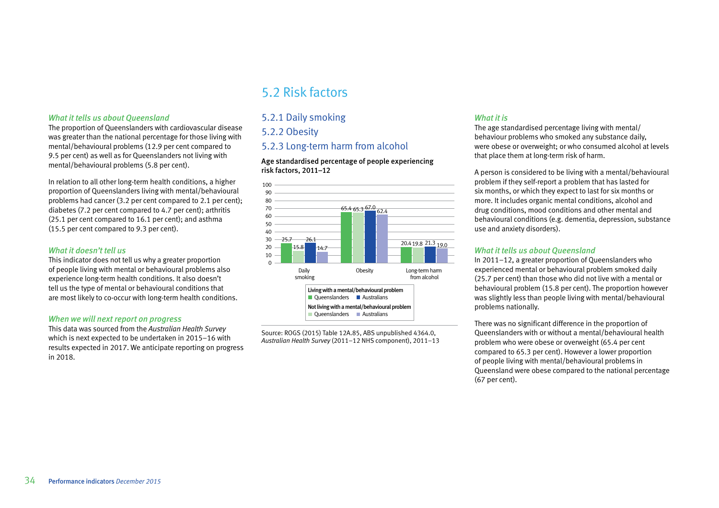#### *What it tells us about Queensland*

The proportion of Queenslanders with cardiovascular disease was greater than the national percentage for those living with mental/behavioural problems (12.9 per cent compared to 9.5 per cent) as well as for Queenslanders not living with mental/behavioural problems (5.8 per cent).

In relation to all other long-term health conditions, a higher proportion of Queenslanders living with mental/behavioural problems had cancer (3.2 per cent compared to 2.1 per cent); diabetes (7.2 per cent compared to 4.7 per cent); arthritis (25.1 per cent compared to 16.1 per cent); and asthma (15.5 per cent compared to 9.3 per cent).

#### *What it doesn't tell us*

This indicator does not tell us why a greater proportion of people living with mental or behavioural problems also experience long-term health conditions. It also doesn't tell us the type of mental or behavioural conditions that are most likely to co-occur with long-term health conditions.

#### *When we will next report on progress*

This data was sourced from the *Australian Health Survey* which is next expected to be undertaken in 2015–16 with results expected in 2017. We anticipate reporting on progress in 2018.

# 5.2 Risk factors

# 5.2.1 Daily smoking

# 5.2.2 Obesity

# 5.2.3 Long-term harm from alcohol

Age standardised percentage of people experiencing risk factors, 2011–12



Source: ROGS (2015) Table 12A.85, ABS unpublished 4364.0, *Australian Health Survey* (2011–12 NHS component), 2011–13

#### *What it is*

The age standardised percentage living with mental/ behaviour problems who smoked any substance daily, were obese or overweight; or who consumed alcohol at levels that place them at long-term risk of harm.

A person is considered to be living with a mental/behavioural problem if they self-report a problem that has lasted for six months, or which they expect to last for six months or more. It includes organic mental conditions, alcohol and drug conditions, mood conditions and other mental and behavioural conditions (e.g. dementia, depression, substance use and anxiety disorders).

#### *What it tells us about Queensland*

In 2011–12, a greater proportion of Queenslanders who experienced mental or behavioural problem smoked daily (25.7 per cent) than those who did not live with a mental or behavioural problem (15.8 per cent). The proportion however was slightly less than people living with mental/behavioural problems nationally.

There was no significant difference in the proportion of Queenslanders with or without a mental/behavioural health problem who were obese or overweight (65.4 per cent compared to 65.3 per cent). However a lower proportion of people living with mental/behavioural problems in Queensland were obese compared to the national percentage (67 per cent).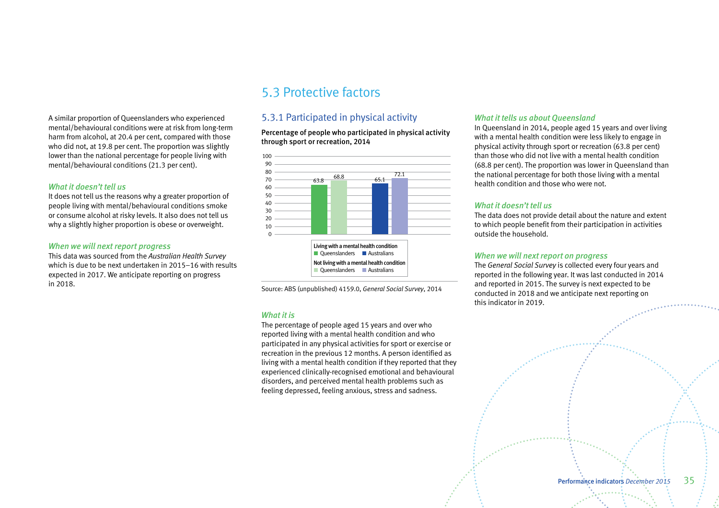A similar proportion of Queenslanders who experienced mental/behavioural conditions were at risk from long-term harm from alcohol, at 20.4 per cent, compared with those who did not, at 19.8 per cent. The proportion was slightly lower than the national percentage for people living with mental/behavioural conditions (21.3 per cent).

#### *What it doesn't tell us*

It does not tell us the reasons why a greater proportion of people living with mental/behavioural conditions smoke or consume alcohol at risky levels. It also does not tell us why a slightly higher proportion is obese or overweight.

#### *When we will next report progress*

This data was sourced from the *Australian Health Survey* which is due to be next undertaken in 2015–16 with results expected in 2017. We anticipate reporting on progress in 2018.

# 5.3 Protective factors

# 5.3.1 Participated in physical activity

Percentage of people who participated in physical activity through sport or recreation, 2014



Source: ABS (unpublished) 4159.0, *General Social Survey*, 2014

## *What it is*

The percentage of people aged 15 years and over who reported living with a mental health condition and who participated in any physical activities for sport or exercise or recreation in the previous 12 months. A person identified as living with a mental health condition if they reported that they experienced clinically-recognised emotional and behavioural disorders, and perceived mental health problems such as feeling depressed, feeling anxious, stress and sadness.

#### *What it tells us about Queensland*

In Queensland in 2014, people aged 15 years and over living with a mental health condition were less likely to engage in physical activity through sport or recreation (63.8 per cent) than those who did not live with a mental health condition (68.8 per cent). The proportion was lower in Queensland than the national percentage for both those living with a mental health condition and those who were not.

# *What it doesn't tell us*

The data does not provide detail about the nature and extent to which people benefit from their participation in activities outside the household.

# *When we will next report on progress*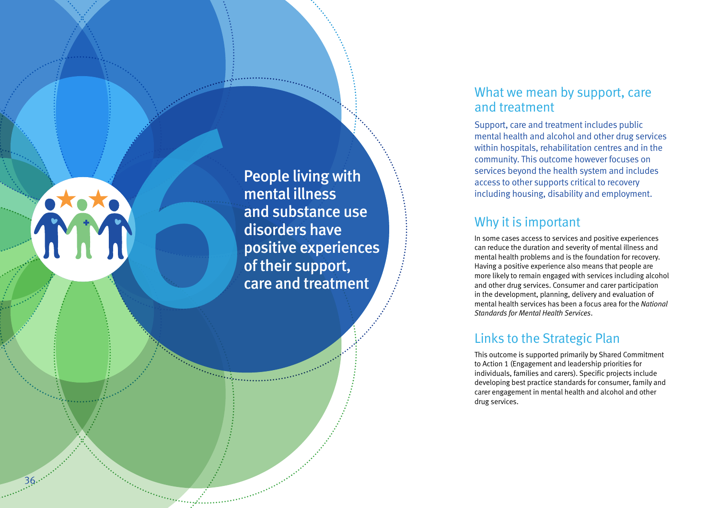<span id="page-37-0"></span>People living with<br>
mental illness<br>
and substance use<br>
disorders have<br>
positive experienc<br>
of their support,<br>
care and treatmen mental illness and substance use disorders have positive experiences of their support, care and treatment

 $36...$ 

# What we mean by support, care and treatment

Support, care and treatment includes public mental health and alcohol and other drug services within hospitals, rehabilitation centres and in the community. This outcome however focuses on services beyond the health system and includes access to other supports critical to recovery including housing, disability and employment.

# Why it is important

In some cases access to services and positive experiences can reduce the duration and severity of mental illness and mental health problems and is the foundation for recovery. Having a positive experience also means that people are more likely to remain engaged with services including alcohol and other drug services. Consumer and carer participation in the development, planning, delivery and evaluation of mental health services has been a focus area for the *National Standards for Mental Health Services* .

# Links to the Strategic Plan

This outcome is supported primarily by Shared Commitment to Action 1 (Engagement and leadership priorities for individuals, families and carers). Specific projects include developing best practice standards for consumer, family and carer engagement in mental health and alcohol and other drug services.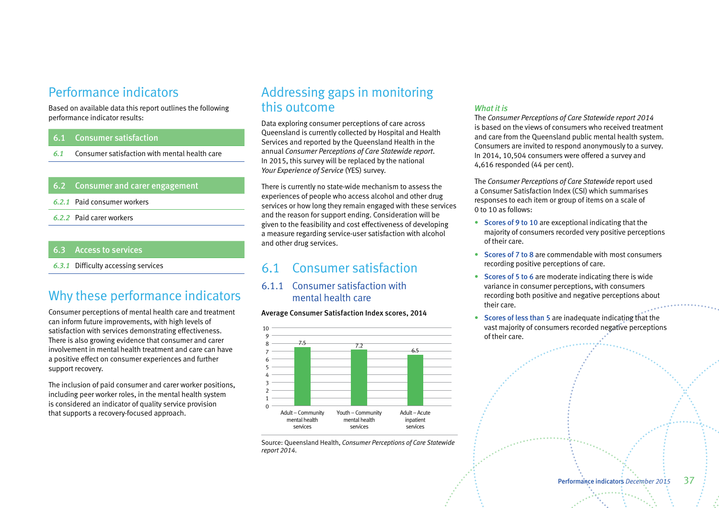# Performance indicators

Based on available data this report outlines the following performance indicator results:

# 6.1 Consumer satisfaction

*6.1* Consumer satisfaction with mental health care

# 6.2 Consumer and carer engagement

- *6.2.1* Paid consumer workers
- *6.2.2* Paid carer workers

# 6.3 Access to services

*6.3.1* Difficulty accessing services

# Why these performance indicators

Consumer perceptions of mental health care and treatment can inform future improvements, with high levels of satisfaction with services demonstrating effectiveness. There is also growing evidence that consumer and carer involvement in mental health treatment and care can have a positive effect on consumer experiences and further support recovery.

The inclusion of paid consumer and carer worker positions, including peer worker roles, in the mental health system is considered an indicator of quality service provision that supports a recovery-focused approach.

# Addressing gaps in monitoring this outcome

Data exploring consumer perceptions of care across Queensland is currently collected by Hospital and Health Services and reported by the Queensland Health in the annual *Consumer Perceptions of Care Statewide report*. In 2015, this survey will be replaced by the national *Your Experience of Service* (YES) survey.

There is currently no state-wide mechanism to assess the experiences of people who access alcohol and other drug services or how long they remain engaged with these services and the reason for support ending. Consideration will be given to the feasibility and cost effectiveness of developing a measure regarding service-user satisfaction with alcohol and other drug services.

# 6.1 Consumer satisfaction

6.1.1 Consumer satisfaction with mental health care

#### Average Consumer Satisfaction Index scores, 2014



Source: Queensland Health, *Consumer Perceptions of Care Statewide report 2014*.

# *What it is*

The *Consumer Perceptions of Care Statewide report 2014* is based on the views of consumers who received treatment and care from the Queensland public mental health system. Consumers are invited to respond anonymously to a survey. In 2014, 10,504 consumers were offered a survey and 4,616 responded (44 per cent).

The *Consumer Perceptions of Care Statewide* report used a Consumer Satisfaction Index (CSI) which summarises responses to each item or group of items on a scale of 0 to 10 as follows:

- Scores of 9 to 10 are exceptional indicating that the majority of consumers recorded very positive perceptions of their care.
- Scores of 7 to 8 are commendable with most consumers recording positive perceptions of care.
- Scores of 5 to 6 are moderate indicating there is wide variance in consumer perceptions, with consumers recording both positive and negative perceptions about their care.
- Scores of less than 5 are inadequate indicating that the vast majority of consumers recorded negative perceptions of their care.

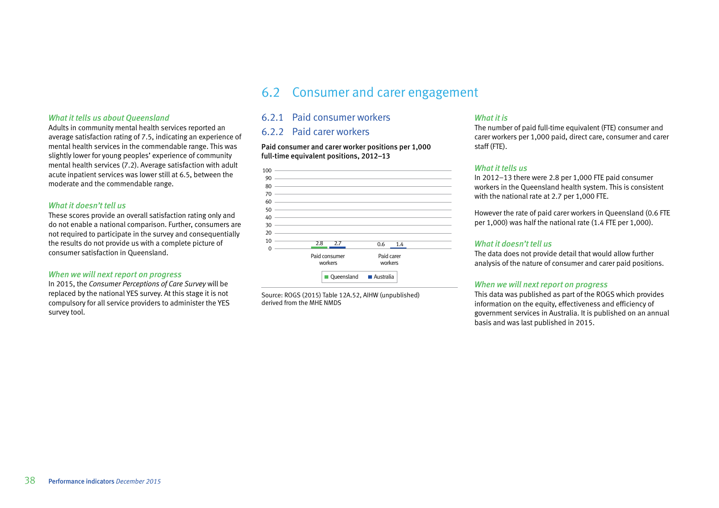### *What it tells us about Queensland*

Adults in community mental health services reported an average satisfaction rating of 7.5, indicating an experience of mental health services in the commendable range. This was slightly lower for young peoples' experience of community mental health services (7.2). Average satisfaction with adult acute inpatient services was lower still at 6.5, between the moderate and the commendable range.

#### *What it doesn't tell us*

These scores provide an overall satisfaction rating only and do not enable a national comparison. Further, consumers are not required to participate in the survey and consequentially the results do not provide us with a complete picture of consumer satisfaction in Queensland.

#### *When we will next report on progress*

In 2015, the *Consumer Perceptions of Care Survey* will be replaced by the national YES survey. At this stage it is not compulsory for all service providers to administer the YES survey tool.

# 6.2 Consumer and carer engagement

# 6.2.1 Paid consumer workers

# 6.2.2 Paid carer workers

Paid consumer and carer worker positions per 1,000 full-time equivalent positions, 2012–13

| 100      |     |                                                                            |            |     |
|----------|-----|----------------------------------------------------------------------------|------------|-----|
| 90       |     |                                                                            |            |     |
| 80       |     |                                                                            |            |     |
| 70       |     | the control of the control of the control of the control of the control of |            |     |
| 60       |     |                                                                            |            |     |
| 50       |     |                                                                            |            |     |
| 40       |     | the control of the control of the control of the control of the control of |            |     |
| 30       |     |                                                                            |            |     |
| 20       |     |                                                                            |            |     |
| 10       | 2.8 | 2.7                                                                        | 0.6        |     |
| $\Omega$ |     |                                                                            |            | 1.4 |
|          |     | Paid consumer                                                              | Paid carer |     |
|          |     | workers                                                                    | workers    |     |
|          |     |                                                                            |            |     |
|          |     | Queensland                                                                 | Australia  |     |

Source: ROGS (2015) Table 12A.52, AIHW (unpublished) derived from the MHE NMDS

#### *What it is*

The number of paid full-time equivalent (FTE) consumer and carer workers per 1,000 paid, direct care, consumer and carer staff (FTE).

#### *What it tells us*

In 2012–13 there were 2.8 per 1,000 FTE paid consumer workers in the Queensland health system. This is consistent with the national rate at 2.7 per 1,000 FTE.

However the rate of paid carer workers in Queensland (0.6 FTE per 1,000) was half the national rate (1.4 FTE per 1,000).

## *What it doesn't tell us*

The data does not provide detail that would allow further analysis of the nature of consumer and carer paid positions.

#### *When we will next report on progress*

This data was published as part of the ROGS which provides information on the equity, effectiveness and efficiency of government services in Australia. It is published on an annual basis and was last published in 2015.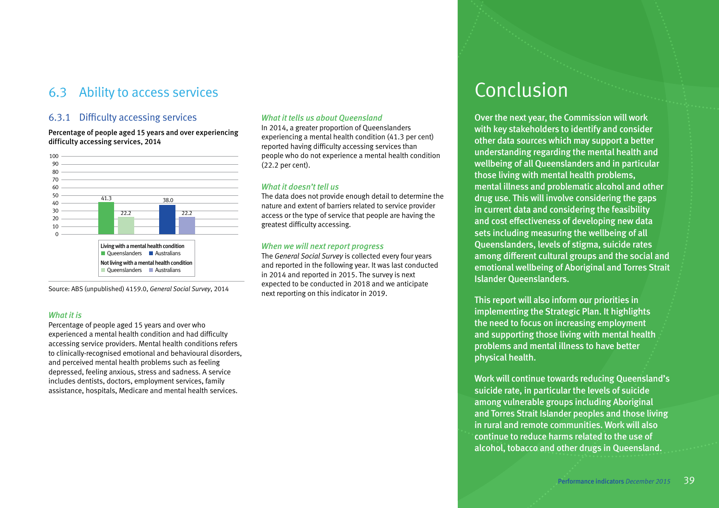# <span id="page-40-0"></span>6.3 Ability to access services Conclusion

# 6.3.1 Difficulty accessing services

Percentage of people aged 15 years and over experiencing difficulty accessing services, 2014



Source: ABS (unpublished) 4159.0, *General Social Survey*, 2014

## *What it is*

Percentage of people aged 15 years and over who experienced a mental health condition and had difficulty accessing service providers. Mental health conditions refers to clinically-recognised emotional and behavioural disorders, and perceived mental health problems such as feeling depressed, feeling anxious, stress and sadness. A service includes dentists, doctors, employment services, family assistance, hospitals, Medicare and mental health services.

# *What it tells us about Queensland*

In 2014, a greater proportion of Queenslanders experiencing a mental health condition (41.3 per cent) reported having difficulty accessing services than people who do not experience a mental health condition (22.2 per cent).

#### *What it doesn't tell us*

The data does not provide enough detail to determine the nature and extent of barriers related to service provider access or the type of service that people are having the greatest difficulty accessing.

#### *When we will next report progress*

The *General Social Survey* is collected every four years and reported in the following year. It was last conducted in 2014 and reported in 2015. The survey is next expected to be conducted in 2018 and we anticipate next reporting on this indicator in 2019.

Over the next year, the Commission will work with key stakeholders to identify and consider other data sources which may support a better understanding regarding the mental health and wellbeing of all Queenslanders and in particular those living with mental health problems, mental illness and problematic alcohol and other drug use. This will involve considering the gaps in current data and considering the feasibility and cost effectiveness of developing new data sets including measuring the wellbeing of all Queenslanders, levels of stigma, suicide rates among different cultural groups and the social and emotional wellbeing of Aboriginal and Torres Strait Islander Queenslanders.

This report will also inform our priorities in implementing the Strategic Plan. It highlights the need to focus on increasing employment and supporting those living with mental health problems and mental illness to have better physical health.

Work will continue towards reducing Queensland's suicide rate, in particular the levels of suicide among vulnerable groups including Aboriginal and Torres Strait Islander peoples and those living in rural and remote communities. Work will also continue to reduce harms related to the use of alcohol, tobacco and other drugs in Queensland.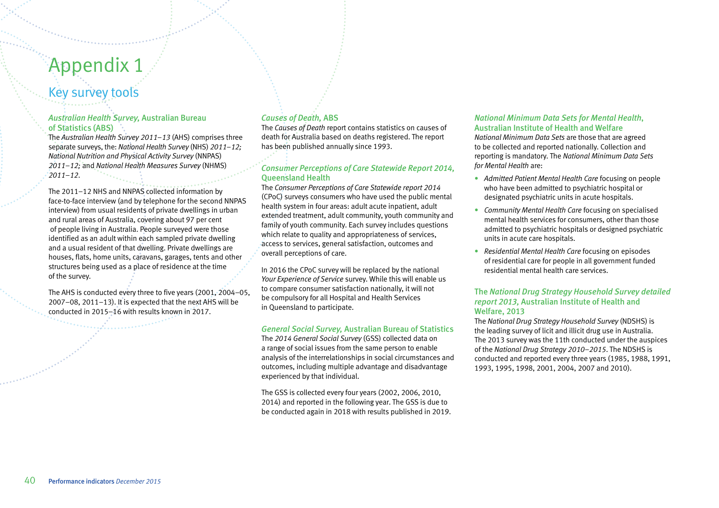# <span id="page-41-0"></span>Appendix 1

# Key survey tools

# *Australian Health Survey,* Australian Bureau of Statistics (ABS)

The *Australian Health Survey 2011*–*13* (AHS) comprises three separate surveys, the: *National Health Survey* (NHS) *2011–12; National Nutrition and Physical Activity Survey* (NNPAS) *2011–12;* and *National Health Measures Survey* (NHMS) *2011–12*.

The 2011–12 NHS and NNPAS collected information by face-to-face interview (and by telephone for the second NNPAS interview) from usual residents of private dwellings in urban and rural areas of Australia, covering about 97 per cent of people living in Australia. People surveyed were those identified as an adult within each sampled private dwelling and a usual resident of that dwelling. Private dwellings are houses, flats, home units, caravans, garages, tents and other structures being used as a place of residence at the time of the survey.

The AHS is conducted every three to five years (2001, 2004–05, 2007–08, 2011–13). It is expected that the next AHS will be conducted in 2015–16 with results known in 2017.

# *Causes of Death,* ABS

The *Causes of Death* report contains statistics on causes of death for Australia based on deaths registered. The report has been published annually since 1993.

# *Consumer Perceptions of Care Statewide Report 2014,*  Queensland Health

The *Consumer Perceptions of Care Statewide report 2014*  (CPoC) surveys consumers who have used the public mental health system in four areas: adult acute inpatient, adult extended treatment, adult community, youth community and family of youth community. Each survey includes questions which relate to quality and appropriateness of services. access to services, general satisfaction, outcomes and overall perceptions of care.

In 2016 the CPoC survey will be replaced by the national *Your Experience of Service* survey. While this will enable us to compare consumer satisfaction nationally, it will not be compulsory for all Hospital and Health Services in Queensland to participate.

## *General Social Survey,* Australian Bureau of Statistics

The *2014 General Social Survey* (GSS) collected data on a range of social issues from the same person to enable analysis of the interrelationships in social circumstances and outcomes, including multiple advantage and disadvantage experienced by that individual.

The GSS is collected every four years (2002, 2006, 2010, 2014) and reported in the following year. The GSS is due to be conducted again in 2018 with results published in 2019.

# *National Minimum Data Sets for Mental Health*, Australian Institute of Health and Welfare

*National Minimum Data Sets* are those that are agreed to be collected and reported nationally. Collection and reporting is mandatory. The *National Minimum Data Sets for Mental Health* are:

- *Admitted Patient Mental Health Care* focusing on people who have been admitted to psychiatric hospital or designated psychiatric units in acute hospitals.
- *Community Mental Health Care* focusing on specialised mental health services for consumers, other than those admitted to psychiatric hospitals or designed psychiatric units in acute care hospitals.
- *Residential Mental Health Care* focusing on episodes of residential care for people in all government funded residential mental health care services.

# The *National Drug Strategy Household Survey detailed report 2013,* Australian Institute of Health and Welfare, 2013

The *National Drug Strategy Household Survey* (NDSHS) is the leading survey of licit and illicit drug use in Australia. The 2013 survey was the 11th conducted under the auspices of the *National Drug Strategy 2010–2015*. The NDSHS is conducted and reported every three years (1985, 1988, 1991, 1993, 1995, 1998, 2001, 2004, 2007 and 2010).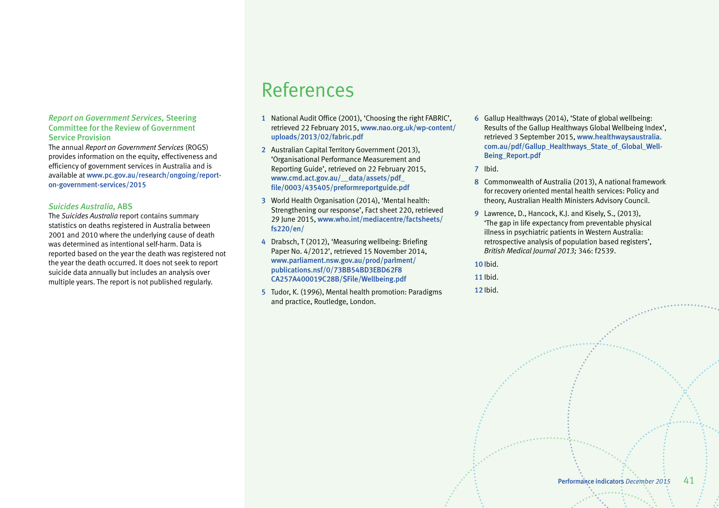#### <span id="page-42-0"></span>*Report on Government Services,* Steering Committee for the Review of Government Service Provision

The annual *Report on Government Services* (ROGS) provides information on the equity, effectiveness and efficiency of government services in Australia and is available at www.pc.gov.au/research/ongoing/reporton-government-services/2015

# *Suicides Australia,* ABS

The *Suicides Australia* report contains summary statistics on deaths registered in Australia between 2001 and 2010 where the underlying cause of death was determined as intentional self-harm. Data is reported based on the year the death was registered not the year the death occurred. It does not seek to report suicide data annually but includes an analysis over multiple years. The report is not published regularly.

# References

- 1 National Audit Office (2001), 'Choosing the right FABRIC', retrieved 22 February 2015, [www.nao.org.uk/wp-content/](http://www.nao.org.uk/wp-content/uploads/2013/02/fabric.pdf) uploads/2013/02/fabric.pdf
- 2 Australian Capital Territory Government (2013), 'Organisational Performance Measurement and Reporting Guide', retrieved on 22 February 2015, www.cmd.act.gov.au/\_\_data/assets/pdf\_ [file/0003/435405/preformreportguide.pdf](http://www.cmd.act.gov.au/__data/assets/pdf_file/0003/435405/preformreportguide.pdf)
- 3 World Health Organisation (2014), 'Mental health: Strengthening our response', Fact sheet 220, retrieved 29 June 2015, [www.who.int/mediacentre/factsheets/](http://www.who.int/mediacentre/factsheets/fs220/en/) fs220/en/
- 4 Drabsch, T (2012), 'Measuring wellbeing: Briefing Paper No. 4/2012', retrieved 15 November 2014, [www.parliament.nsw.gov.au/prod/parlment/](http://www.parliament.nsw.gov.au/prod/parlment/publications.nsf/0/73BB54BD3EBD62F8CA257A400019C28B/$File/Wellbeing.pdf) publications.nsf/0/73BB54BD3EBD62F8 CA257A400019C28B/\$File/Wellbeing.pdf
- 5 Tudor, K. (1996), Mental health promotion: Paradigms and practice, Routledge, London.
- 6 Gallup Healthways (2014), 'State of global wellbeing: Results of the Gallup Healthways Global Wellbeing Index', retrieved 3 September 2015, www.healthwaysaustralia. [com.au/pdf/Gallup\\_Healthways\\_State\\_of\\_Global\\_Well-](http://www.healthwaysaustralia.com.au/pdf/Gallup_Healthways_State_of_Global_Well-Being_Report.pdf)Being\_Report.pdf
- 7 Ibid.
- 8 Commonwealth of Australia (2013), A national framework for recovery oriented mental health services: Policy and theory, Australian Health Ministers Advisory Council.
- 9 Lawrence, D., Hancock, K.J. and Kisely, S., (2013), 'The gap in life expectancy from preventable physical illness in psychiatric patients in Western Australia: retrospective analysis of population based registers', *British Medical Journal 2013;* 346: f2539.
- 10 Ibid.
- 11 Ibid.
- 12 Ibid.